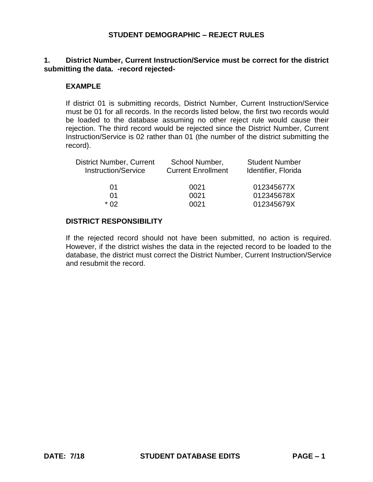## **1. District Number, Current Instruction/Service must be correct for the district submitting the data. -record rejected-**

### **EXAMPLE**

If district 01 is submitting records, District Number, Current Instruction/Service must be 01 for all records. In the records listed below, the first two records would be loaded to the database assuming no other reject rule would cause their rejection. The third record would be rejected since the District Number, Current Instruction/Service is 02 rather than 01 (the number of the district submitting the record).

| School Number,<br><b>Current Enrollment</b> | <b>Student Number</b><br>Identifier, Florida |
|---------------------------------------------|----------------------------------------------|
| 0021                                        | 012345677X                                   |
| 0021                                        | 012345678X                                   |
| 0021                                        | 012345679X                                   |
|                                             |                                              |

## **DISTRICT RESPONSIBILITY**

If the rejected record should not have been submitted, no action is required. However, if the district wishes the data in the rejected record to be loaded to the database, the district must correct the District Number, Current Instruction/Service and resubmit the record.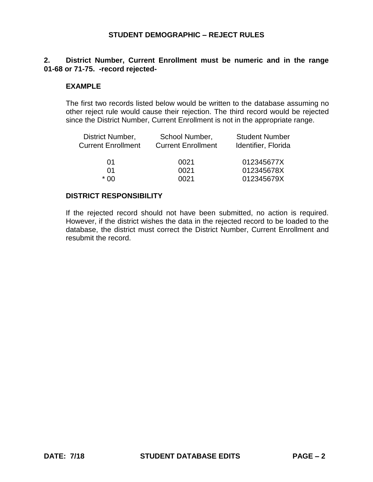## **2. District Number, Current Enrollment must be numeric and in the range 01-68 or 71-75. -record rejected-**

#### **EXAMPLE**

The first two records listed below would be written to the database assuming no other reject rule would cause their rejection. The third record would be rejected since the District Number, Current Enrollment is not in the appropriate range.

| District Number,          | School Number,            | <b>Student Number</b> |
|---------------------------|---------------------------|-----------------------|
| <b>Current Enrollment</b> | <b>Current Enrollment</b> | Identifier, Florida   |
| 01                        | 0021                      | 012345677X            |
| 01                        | 0021                      | 012345678X            |
| * በበ                      | በበ21                      | 012345679X            |

#### **DISTRICT RESPONSIBILITY**

If the rejected record should not have been submitted, no action is required. However, if the district wishes the data in the rejected record to be loaded to the database, the district must correct the District Number, Current Enrollment and resubmit the record.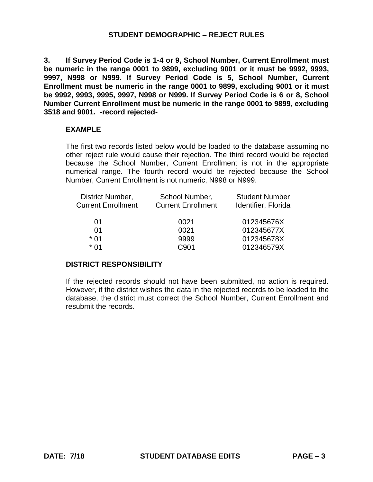**3. If Survey Period Code is 1-4 or 9, School Number, Current Enrollment must be numeric in the range 0001 to 9899, excluding 9001 or it must be 9992, 9993, 9997, N998 or N999. If Survey Period Code is 5, School Number, Current Enrollment must be numeric in the range 0001 to 9899, excluding 9001 or it must be 9992, 9993, 9995, 9997, N998 or N999. If Survey Period Code is 6 or 8, School Number Current Enrollment must be numeric in the range 0001 to 9899, excluding 3518 and 9001. -record rejected-**

#### **EXAMPLE**

The first two records listed below would be loaded to the database assuming no other reject rule would cause their rejection. The third record would be rejected because the School Number, Current Enrollment is not in the appropriate numerical range. The fourth record would be rejected because the School Number, Current Enrollment is not numeric, N998 or N999.

| District Number,<br><b>Current Enrollment</b> | School Number,<br><b>Current Enrollment</b> | <b>Student Number</b><br>Identifier, Florida |  |
|-----------------------------------------------|---------------------------------------------|----------------------------------------------|--|
| 01                                            | 0021                                        | 012345676X                                   |  |
| 01                                            | 0021                                        | 012345677X                                   |  |
| $*$ 01                                        | 9999                                        | 012345678X                                   |  |
| * በ1                                          | C901                                        | 012346579X                                   |  |

## **DISTRICT RESPONSIBILITY**

If the rejected records should not have been submitted, no action is required. However, if the district wishes the data in the rejected records to be loaded to the database, the district must correct the School Number, Current Enrollment and resubmit the records.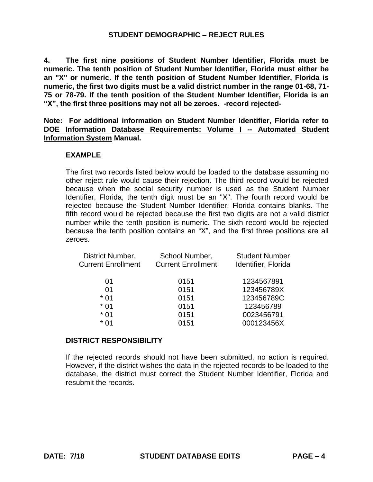**4. The first nine positions of Student Number Identifier, Florida must be numeric. The tenth position of Student Number Identifier, Florida must either be an "X" or numeric. If the tenth position of Student Number Identifier, Florida is numeric, the first two digits must be a valid district number in the range 01-68, 71- 75 or 78-79. If the tenth position of the Student Number Identifier, Florida is an "X", the first three positions may not all be zeroes. -record rejected-**

**Note: For additional information on Student Number Identifier, Florida refer to DOE Information Database Requirements: Volume I -- Automated Student Information System Manual.** 

#### **EXAMPLE**

 because the tenth position contains an "X", and the first three positions are all The first two records listed below would be loaded to the database assuming no other reject rule would cause their rejection. The third record would be rejected because when the social security number is used as the Student Number Identifier, Florida, the tenth digit must be an "X". The fourth record would be rejected because the Student Number Identifier, Florida contains blanks. The fifth record would be rejected because the first two digits are not a valid district number while the tenth position is numeric. The sixth record would be rejected zeroes.

| School Number,<br><b>Current Enrollment</b> | <b>Student Number</b><br>Identifier, Florida |
|---------------------------------------------|----------------------------------------------|
| 0151                                        | 1234567891                                   |
| 0151                                        | 123456789X                                   |
| 0151                                        | 123456789C                                   |
| 0151                                        | 123456789                                    |
| 0151                                        | 0023456791                                   |
| 0151                                        | 000123456X                                   |
|                                             |                                              |

#### **DISTRICT RESPONSIBILITY**

If the rejected records should not have been submitted, no action is required. However, if the district wishes the data in the rejected records to be loaded to the database, the district must correct the Student Number Identifier, Florida and resubmit the records.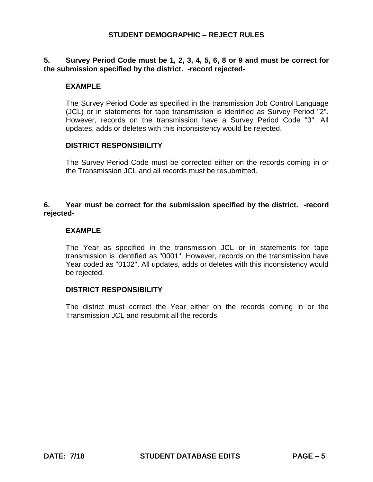## **5. Survey Period Code must be 1, 2, 3, 4, 5, 6, 8 or 9 and must be correct for the submission specified by the district. -record rejected-**

### **EXAMPLE**

The Survey Period Code as specified in the transmission Job Control Language (JCL) or in statements for tape transmission is identified as Survey Period "2". However, records on the transmission have a Survey Period Code "3". All updates, adds or deletes with this inconsistency would be rejected.

#### **DISTRICT RESPONSIBILITY**

The Survey Period Code must be corrected either on the records coming in or the Transmission JCL and all records must be resubmitted.

## **6. Year must be correct for the submission specified by the district. -record rejected-**

#### **EXAMPLE**

The Year as specified in the transmission JCL or in statements for tape transmission is identified as "0001". However, records on the transmission have Year coded as "0102". All updates, adds or deletes with this inconsistency would be rejected.

#### **DISTRICT RESPONSIBILITY**

The district must correct the Year either on the records coming in or the Transmission JCL and resubmit all the records.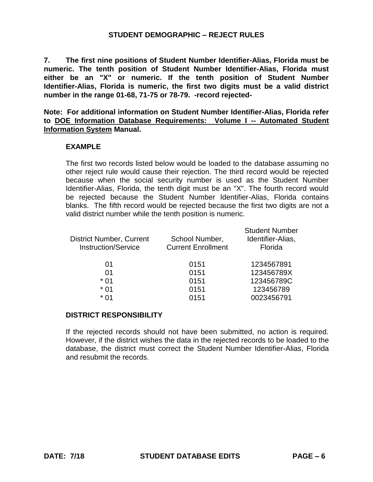**7. The first nine positions of Student Number Identifier-Alias, Florida must be numeric. The tenth position of Student Number Identifier-Alias, Florida must either be an "X" or numeric. If the tenth position of Student Number Identifier-Alias, Florida is numeric, the first two digits must be a valid district number in the range 01-68, 71-75 or 78-79. -record rejected-**

**Note: For additional information on Student Number Identifier-Alias, Florida refer to DOE Information Database Requirements: Volume I -- Automated Student Information System Manual.** 

#### **EXAMPLE**

The first two records listed below would be loaded to the database assuming no other reject rule would cause their rejection. The third record would be rejected because when the social security number is used as the Student Number Identifier-Alias, Florida, the tenth digit must be an "X". The fourth record would be rejected because the Student Number Identifier-Alias, Florida contains blanks. The fifth record would be rejected because the first two digits are not a valid district number while the tenth position is numeric.

| <b>District Number, Current</b><br><b>Instruction/Service</b> | School Number,<br><b>Current Enrollment</b> | <b>Student Number</b><br>Identifier-Alias,<br>Florida |
|---------------------------------------------------------------|---------------------------------------------|-------------------------------------------------------|
| 01                                                            | 0151                                        | 1234567891                                            |
| 01                                                            | 0151                                        | 123456789X                                            |
| $*$ 01                                                        | 0151                                        | 123456789C                                            |
| $*01$                                                         | 0151                                        | 123456789                                             |
| * 01                                                          | 0151                                        | 0023456791                                            |
|                                                               |                                             |                                                       |

#### **DISTRICT RESPONSIBILITY**

If the rejected records should not have been submitted, no action is required. However, if the district wishes the data in the rejected records to be loaded to the database, the district must correct the Student Number Identifier-Alias, Florida and resubmit the records.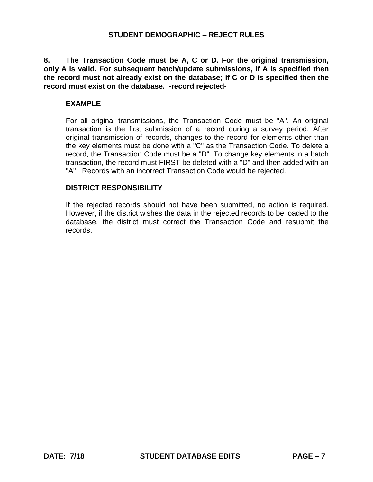**8. The Transaction Code must be A, C or D. For the original transmission, only A is valid. For subsequent batch/update submissions, if A is specified then the record must not already exist on the database; if C or D is specified then the record must exist on the database. -record rejected-**

#### **EXAMPLE**

For all original transmissions, the Transaction Code must be "A". An original transaction is the first submission of a record during a survey period. After original transmission of records, changes to the record for elements other than the key elements must be done with a "C" as the Transaction Code. To delete a record, the Transaction Code must be a "D". To change key elements in a batch transaction, the record must FIRST be deleted with a "D" and then added with an "A". Records with an incorrect Transaction Code would be rejected.

#### **DISTRICT RESPONSIBILITY**

If the rejected records should not have been submitted, no action is required. However, if the district wishes the data in the rejected records to be loaded to the database, the district must correct the Transaction Code and resubmit the records.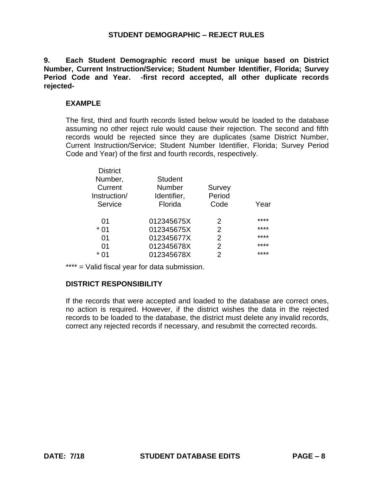**9. Each Student Demographic record must be unique based on District Number, Current Instruction/Service; Student Number Identifier, Florida; Survey Period Code and Year. -first record accepted, all other duplicate records rejected-**

#### **EXAMPLE**

The first, third and fourth records listed below would be loaded to the database assuming no other reject rule would cause their rejection. The second and fifth records would be rejected since they are duplicates (same District Number, Current Instruction/Service; Student Number Identifier, Florida; Survey Period Code and Year) of the first and fourth records, respectively.

| <b>Student</b> |               |      |
|----------------|---------------|------|
| Number         | <b>Survey</b> |      |
| Identifier,    | Period        |      |
| Florida        | Code          | Year |
|                |               |      |
| 012345675X     | $\mathcal{P}$ | **** |
| 012345675X     | $\mathcal{P}$ | **** |
| 012345677X     | 2             | **** |
| 012345678X     | 2             | **** |
| 012345678X     | 2             | **** |
|                |               |      |

\*\*\*\* = Valid fiscal year for data submission.

## **DISTRICT RESPONSIBILITY**

If the records that were accepted and loaded to the database are correct ones, no action is required. However, if the district wishes the data in the rejected records to be loaded to the database, the district must delete any invalid records, correct any rejected records if necessary, and resubmit the corrected records.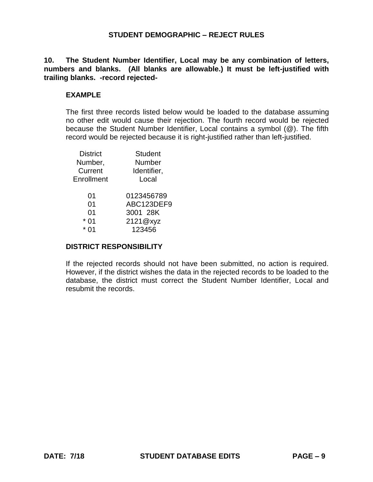**10. The Student Number Identifier, Local may be any combination of letters, numbers and blanks. (All blanks are allowable.) It must be left-justified with trailing blanks. -record rejected-**

### **EXAMPLE**

The first three records listed below would be loaded to the database assuming no other edit would cause their rejection. The fourth record would be rejected because the Student Number Identifier, Local contains a symbol (@). The fifth record would be rejected because it is right-justified rather than left-justified.

| <b>Student</b> |
|----------------|
| Number         |
| Identifier,    |
| Local          |
| 0123456789     |
| ABC123DEF9     |
| 3001 28K       |
| 2121@xyz       |
| 123456         |
|                |

#### **DISTRICT RESPONSIBILITY**

If the rejected records should not have been submitted, no action is required. However, if the district wishes the data in the rejected records to be loaded to the database, the district must correct the Student Number Identifier, Local and resubmit the records.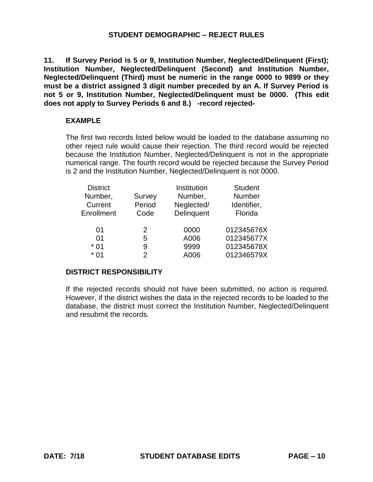**11. If Survey Period is 5 or 9, Institution Number, Neglected/Delinquent (First); Institution Number, Neglected/Delinquent (Second) and Institution Number, Neglected/Delinquent (Third) must be numeric in the range 0000 to 9899 or they must be a district assigned 3 digit number preceded by an A. If Survey Period is not 5 or 9, Institution Number, Neglected/Delinquent must be 0000. (This edit does not apply to Survey Periods 6 and 8.) -record rejected-**

## **EXAMPLE**

The first two records listed below would be loaded to the database assuming no other reject rule would cause their rejection. The third record would be rejected because the Institution Number, Neglected/Delinquent is not in the appropriate numerical range. The fourth record would be rejected because the Survey Period is 2 and the Institution Number, Neglected/Delinquent is not 0000.

| <b>District</b> |        | Institution | <b>Student</b> |
|-----------------|--------|-------------|----------------|
| Number,         | Survey | Number,     | Number         |
| Current         | Period | Neglected/  | Identifier,    |
| Enrollment      | Code   | Delinquent  | Florida        |
|                 |        |             |                |
| 01              | 2      | 0000        | 012345676X     |
| 01              | 5      | A006        | 012345677X     |
| $*01$           | 9      | 9999        | 012345678X     |
| * በ1            | 2      | A006        | 012346579X     |
|                 |        |             |                |

## **DISTRICT RESPONSIBILITY**

If the rejected records should not have been submitted, no action is required. However, if the district wishes the data in the rejected records to be loaded to the database, the district must correct the Institution Number, Neglected/Delinquent and resubmit the records.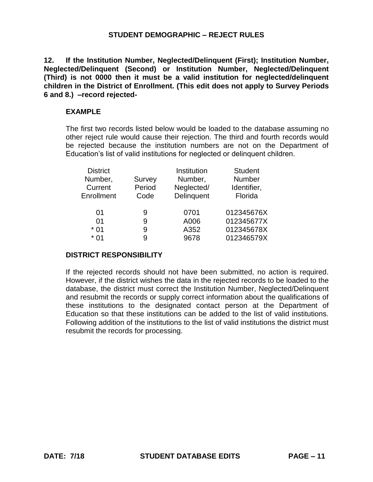**12. If the Institution Number, Neglected/Delinquent (First); Institution Number, Neglected/Delinquent (Second) or Institution Number, Neglected/Delinquent (Third) is not 0000 then it must be a valid institution for neglected/delinquent children in the District of Enrollment. (This edit does not apply to Survey Periods 6 and 8.) –record rejected-**

#### **EXAMPLE**

The first two records listed below would be loaded to the database assuming no other reject rule would cause their rejection. The third and fourth records would be rejected because the institution numbers are not on the Department of Education's list of valid institutions for neglected or delinquent children.

| <b>District</b><br>Number,<br>Current<br>Enrollment | Survey<br>Period<br>Code | Institution<br>Number,<br>Neglected/<br>Delinquent | <b>Student</b><br>Number<br>Identifier,<br>Florida |
|-----------------------------------------------------|--------------------------|----------------------------------------------------|----------------------------------------------------|
| 01                                                  | 9                        | 0701                                               | 012345676X                                         |
| 01                                                  | 9                        | A006                                               | 012345677X                                         |
| $*01$                                               | 9                        | A352                                               | 012345678X                                         |
| * በ1                                                | 9                        | 9678                                               | 012346579X                                         |

#### **DISTRICT RESPONSIBILITY**

If the rejected records should not have been submitted, no action is required. However, if the district wishes the data in the rejected records to be loaded to the database, the district must correct the Institution Number, Neglected/Delinquent and resubmit the records or supply correct information about the qualifications of these institutions to the designated contact person at the Department of Education so that these institutions can be added to the list of valid institutions. Following addition of the institutions to the list of valid institutions the district must resubmit the records for processing.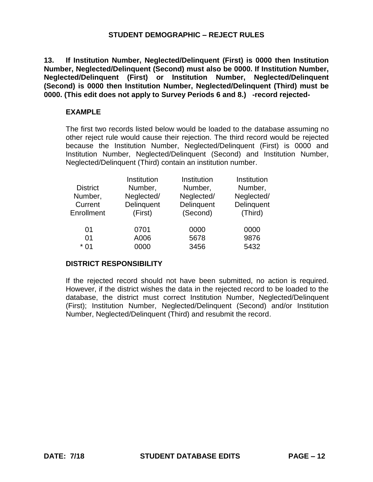**13. If Institution Number, Neglected/Delinquent (First) is 0000 then Institution Number, Neglected/Delinquent (Second) must also be 0000. If Institution Number, Neglected/Delinquent (First) or Institution Number, Neglected/Delinquent (Second) is 0000 then Institution Number, Neglected/Delinquent (Third) must be 0000. (This edit does not apply to Survey Periods 6 and 8.) -record rejected-**

## **EXAMPLE**

The first two records listed below would be loaded to the database assuming no other reject rule would cause their rejection. The third record would be rejected because the Institution Number, Neglected/Delinquent (First) is 0000 and Institution Number, Neglected/Delinquent (Second) and Institution Number, Neglected/Delinquent (Third) contain an institution number.

| <b>District</b><br>Number,<br>Current<br>Enrollment | Institution<br>Number,<br>Neglected/<br>Delinquent<br>(First) | Institution<br>Number,<br>Neglected/<br>Delinquent<br>(Second) | Institution<br>Number,<br>Neglected/<br>Delinquent<br>(Third) |
|-----------------------------------------------------|---------------------------------------------------------------|----------------------------------------------------------------|---------------------------------------------------------------|
| 01                                                  | 0701                                                          | 0000                                                           | 0000                                                          |
| 01                                                  | A006                                                          | 5678                                                           | 9876                                                          |
| $*$ 01                                              | 0000                                                          | 3456                                                           | 5432                                                          |

## **DISTRICT RESPONSIBILITY**

If the rejected record should not have been submitted, no action is required. However, if the district wishes the data in the rejected record to be loaded to the database, the district must correct Institution Number, Neglected/Delinquent (First); Institution Number, Neglected/Delinquent (Second) and/or Institution Number, Neglected/Delinquent (Third) and resubmit the record.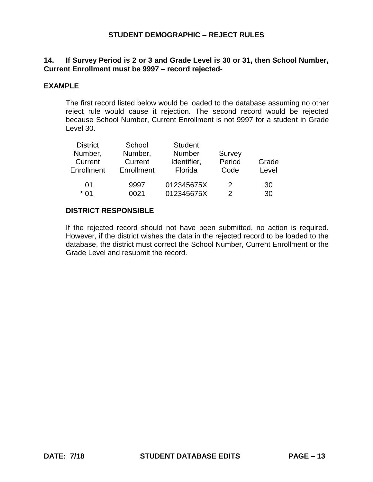# **14. If Survey Period is 2 or 3 and Grade Level is 30 or 31, then School Number, Current Enrollment must be 9997 – record rejected-**

### **EXAMPLE**

The first record listed below would be loaded to the database assuming no other reject rule would cause it rejection. The second record would be rejected because School Number, Current Enrollment is not 9997 for a student in Grade Level 30.

| <b>District</b> | School     | <b>Student</b> |        |       |
|-----------------|------------|----------------|--------|-------|
| Number,         | Number,    | <b>Number</b>  | Survey |       |
| Current         | Current    | Identifier,    | Period | Grade |
| Enrollment      | Enrollment | Florida        | Code   | Level |
| 01              | 9997       | 012345675X     | 2      |       |
|                 |            |                |        | 30    |
| $*$ 01          | 0021       | 012345675X     |        | 30    |

#### **DISTRICT RESPONSIBLE**

If the rejected record should not have been submitted, no action is required. However, if the district wishes the data in the rejected record to be loaded to the database, the district must correct the School Number, Current Enrollment or the Grade Level and resubmit the record.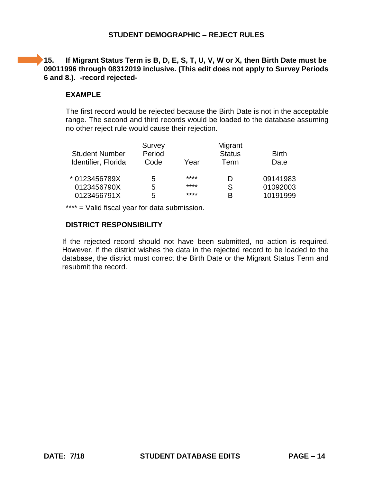# **15. If Migrant Status Term is B, D, E, S, T, U, V, W or X, then Birth Date must be 09011996 through 08312019 inclusive. (This edit does not apply to Survey Periods 6 and 8.). -record rejected-**

# **EXAMPLE**

The first record would be rejected because the Birth Date is not in the acceptable range. The second and third records would be loaded to the database assuming no other reject rule would cause their rejection.

| <b>Student Number</b><br>Identifier, Florida | Survey<br>Period<br>Code | Year | Migrant<br><b>Status</b><br>Term | <b>Birth</b><br>Date |
|----------------------------------------------|--------------------------|------|----------------------------------|----------------------|
| * 0123456789X                                | 5.                       | **** | D                                | 09141983             |
| 0123456790X                                  | 5                        | **** | S                                | 01092003             |
| 0123456791X                                  | 5                        | **** | B                                | 10191999             |

\*\*\*\* = Valid fiscal year for data submission.

## **DISTRICT RESPONSIBILITY**

If the rejected record should not have been submitted, no action is required. However, if the district wishes the data in the rejected record to be loaded to the database, the district must correct the Birth Date or the Migrant Status Term and resubmit the record.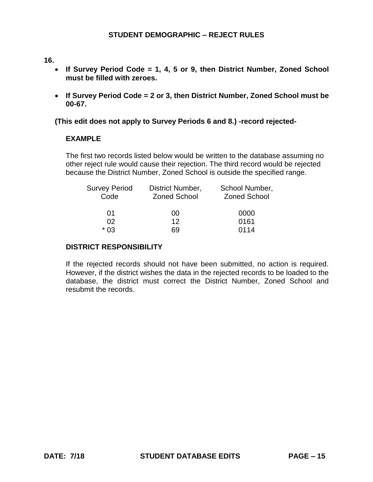#### **16.**

- **If Survey Period Code = 1, 4, 5 or 9, then District Number, Zoned School must be filled with zeroes.**
- **If Survey Period Code = 2 or 3, then District Number, Zoned School must be 00-67.**

#### **(This edit does not apply to Survey Periods 6 and 8.) -record rejected-**

#### **EXAMPLE**

The first two records listed below would be written to the database assuming no other reject rule would cause their rejection. The third record would be rejected because the District Number, Zoned School is outside the specified range.

| <b>Survey Period</b> | District Number,    | School Number,      |
|----------------------|---------------------|---------------------|
| Code                 | <b>Zoned School</b> | <b>Zoned School</b> |
| 01                   | 00                  | 0000                |
| 02                   | 12 <sup>°</sup>     | 0161                |
| $*$ 0.3              | 69                  | 0114                |

## **DISTRICT RESPONSIBILITY**

If the rejected records should not have been submitted, no action is required. However, if the district wishes the data in the rejected records to be loaded to the database, the district must correct the District Number, Zoned School and resubmit the records.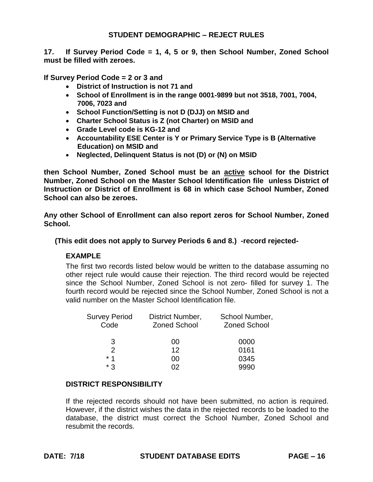**17. If Survey Period Code = 1, 4, 5 or 9, then School Number, Zoned School must be filled with zeroes.** 

**If Survey Period Code = 2 or 3 and** 

- **District of Instruction is not 71 and**
- **School of Enrollment is in the range 0001-9899 but not 3518, 7001, 7004, 7006, 7023 and**
- **School Function/Setting is not D (DJJ) on MSID and**
- **Charter School Status is Z (not Charter) on MSID and**
- **Grade Level code is KG-12 and**
- **Accountability ESE Center is Y or Primary Service Type is B (Alternative Education) on MSID and**
- **Neglected, Delinquent Status is not (D) or (N) on MSID**

**then School Number, Zoned School must be an active school for the District Number, Zoned School on the Master School Identification file unless District of Instruction or District of Enrollment is 68 in which case School Number, Zoned School can also be zeroes.** 

**Any other School of Enrollment can also report zeros for School Number, Zoned School.** 

**(This edit does not apply to Survey Periods 6 and 8.) -record rejected-**

## **EXAMPLE**

The first two records listed below would be written to the database assuming no other reject rule would cause their rejection. The third record would be rejected since the School Number, Zoned School is not zero- filled for survey 1. The fourth record would be rejected since the School Number, Zoned School is not a valid number on the Master School Identification file.

| Survey Period<br>Code | District Number,<br><b>Zoned School</b> | School Number,<br><b>Zoned School</b> |
|-----------------------|-----------------------------------------|---------------------------------------|
| 3                     | 00                                      | 0000                                  |
| $\mathcal{P}$         | $12 \,$                                 | 0161                                  |
| * 1                   | 00                                      | 0345                                  |
| * ?                   | n2                                      | 9990                                  |

## **DISTRICT RESPONSIBILITY**

If the rejected records should not have been submitted, no action is required. However, if the district wishes the data in the rejected records to be loaded to the database, the district must correct the School Number, Zoned School and resubmit the records.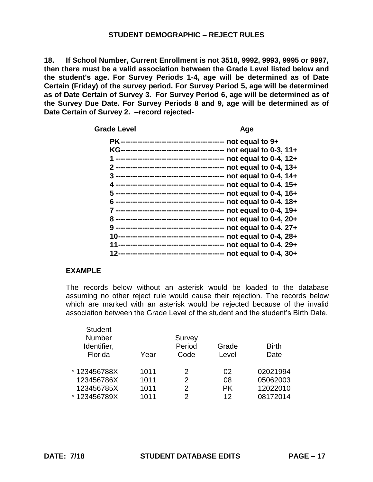**18. If School Number, Current Enrollment is not 3518, 9992, 9993, 9995 or 9997, then there must be a valid association between the Grade Level listed below and the student's age. For Survey Periods 1-4, age will be determined as of Date Certain (Friday) of the survey period. For Survey Period 5, age will be determined as of Date Certain of Survey 3. For Survey Period 6, age will be determined as of the Survey Due Date. For Survey Periods 8 and 9, age will be determined as of Date Certain of Survey 2. –record rejected-**

Grade Level **Age 2018** 

| not equal to $9+$          |
|----------------------------|
| not equal to $0-3$ , $11+$ |
| not equal to $0-4$ , $12+$ |
| not equal to 0-4, 13+      |
| not equal to 0-4, 14+      |
| not equal to 0-4, 15+      |
| not equal to $0-4$ , $16+$ |
| not equal to $0-4$ , $18+$ |
| not equal to $0-4$ , $19+$ |
| not equal to 0-4, 20+      |
| not equal to 0-4, 27+      |
| not equal to $0-4$ , $28+$ |
| not equal to $0-4$ , $29+$ |
| not equal to 0-4, 30+      |
|                            |

# **EXAMPLE**

The records below without an asterisk would be loaded to the database assuming no other reject rule would cause their rejection. The records below which are marked with an asterisk would be rejected because of the invalid association between the Grade Level of the student and the student's Birth Date.

| <b>Student</b><br>Number<br>Identifier,<br>Florida | Year | Survey<br>Period<br>Code | Grade<br>Level | <b>Birth</b><br>Date |
|----------------------------------------------------|------|--------------------------|----------------|----------------------|
| * 123456788X                                       | 1011 | 2                        | 02             | 02021994             |
| 123456786X                                         | 1011 | $\mathcal{P}$            | 08             | 05062003             |
| 123456785X                                         | 1011 | $\mathcal{P}$            | <b>PK</b>      | 12022010             |
| * 123456789X                                       | 1011 | $\mathcal{D}$            | 12             | 08172014             |
|                                                    |      |                          |                |                      |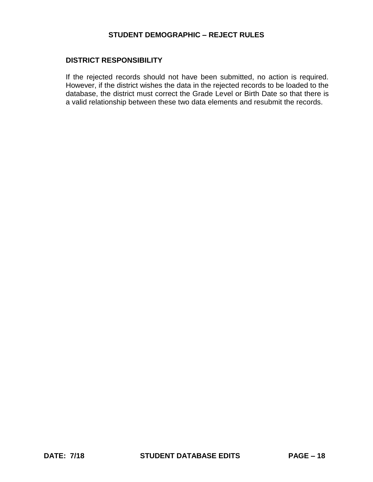#### **DISTRICT RESPONSIBILITY**

If the rejected records should not have been submitted, no action is required. However, if the district wishes the data in the rejected records to be loaded to the database, the district must correct the Grade Level or Birth Date so that there is a valid relationship between these two data elements and resubmit the records.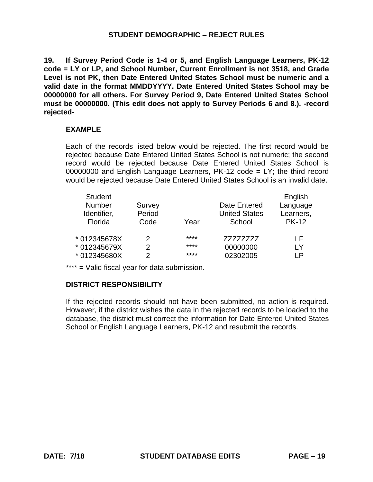**19. If Survey Period Code is 1-4 or 5, and English Language Learners, PK-12 code = LY or LP, and School Number, Current Enrollment is not 3518, and Grade Level is not PK, then Date Entered United States School must be numeric and a valid date in the format MMDDYYYY. Date Entered United States School may be 00000000 for all others. For Survey Period 9, Date Entered United States School must be 00000000. (This edit does not apply to Survey Periods 6 and 8.). -record rejected-**

#### **EXAMPLE**

Each of the records listed below would be rejected. The first record would be rejected because Date Entered United States School is not numeric; the second record would be rejected because Date Entered United States School is 00000000 and English Language Learners,  $PK-12 \text{ code} = LY$ ; the third record would be rejected because Date Entered United States School is an invalid date.

| <b>Student</b> |        |      |                      | English      |
|----------------|--------|------|----------------------|--------------|
| <b>Number</b>  | Survey |      | Date Entered         | Language     |
| Identifier,    | Period |      | <b>United States</b> | Learners,    |
| Florida        | Code   | Year | School               | <b>PK-12</b> |
| * 012345678X   | 2      | **** | 77777777             | ΙF           |
| * 012345679X   | 2      | **** | 00000000             | I Y          |
| * 012345680X   | 2      | **** | 02302005             | ΙP           |

\*\*\*\* = Valid fiscal year for data submission.

## **DISTRICT RESPONSIBILITY**

If the rejected records should not have been submitted, no action is required. However, if the district wishes the data in the rejected records to be loaded to the database, the district must correct the information for Date Entered United States School or English Language Learners, PK-12 and resubmit the records.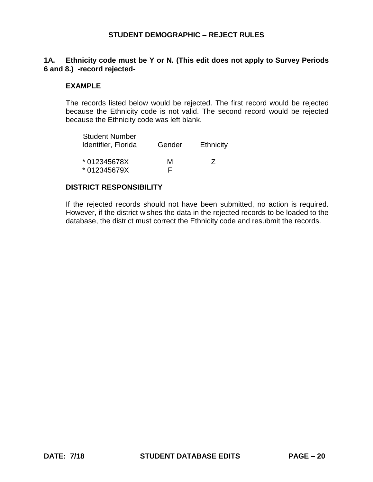## **1A. Ethnicity code must be Y or N. (This edit does not apply to Survey Periods 6 and 8.) -record rejected-**

#### **EXAMPLE**

The records listed below would be rejected. The first record would be rejected because the Ethnicity code is not valid. The second record would be rejected because the Ethnicity code was left blank.

| <b>Student Number</b><br>Identifier, Florida | Gender | Ethnicity |
|----------------------------------------------|--------|-----------|
| * 012345678X<br>* 012345679X                 | м      | $\prime$  |

## **DISTRICT RESPONSIBILITY**

If the rejected records should not have been submitted, no action is required. However, if the district wishes the data in the rejected records to be loaded to the database, the district must correct the Ethnicity code and resubmit the records.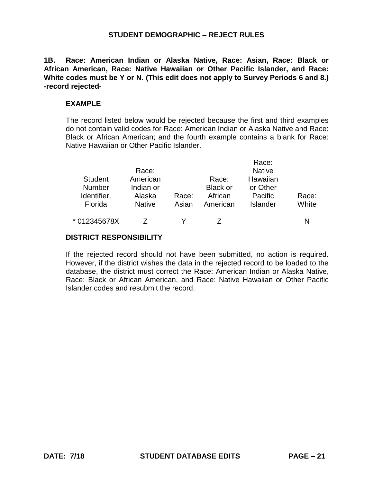**1B. Race: American Indian or Alaska Native, Race: Asian, Race: Black or African American, Race: Native Hawaiian or Other Pacific Islander, and Race: White codes must be Y or N. (This edit does not apply to Survey Periods 6 and 8.) -record rejected-**

#### **EXAMPLE**

The record listed below would be rejected because the first and third examples do not contain valid codes for Race: American Indian or Alaska Native and Race: Black or African American; and the fourth example contains a blank for Race: Native Hawaiian or Other Pacific Islander.

|                | Race:         |       |                 | Race:<br><b>Native</b> |       |
|----------------|---------------|-------|-----------------|------------------------|-------|
| <b>Student</b> | American      |       | Race:           | Hawaiian               |       |
| <b>Number</b>  | Indian or     |       | <b>Black or</b> | or Other               |       |
| Identifier,    | Alaska        | Race: | African         | Pacific                | Race: |
| Florida        | <b>Native</b> | Asian | American        | Islander               | White |
| * 012345678X   |               |       |                 |                        |       |

#### **DISTRICT RESPONSIBILITY**

If the rejected record should not have been submitted, no action is required. However, if the district wishes the data in the rejected record to be loaded to the database, the district must correct the Race: American Indian or Alaska Native, Race: Black or African American, and Race: Native Hawaiian or Other Pacific Islander codes and resubmit the record.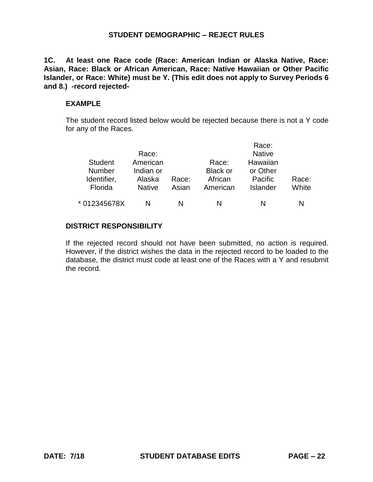**1C. At least one Race code (Race: American Indian or Alaska Native, Race: Asian, Race: Black or African American, Race: Native Hawaiian or Other Pacific Islander, or Race: White) must be Y. (This edit does not apply to Survey Periods 6 and 8.) -record rejected-**

#### **EXAMPLE**

The student record listed below would be rejected because there is not a Y code for any of the Races.

|                |               |       |                 | Race:           |       |
|----------------|---------------|-------|-----------------|-----------------|-------|
|                | Race:         |       |                 | <b>Native</b>   |       |
| <b>Student</b> | American      |       | Race:           | Hawaiian        |       |
| <b>Number</b>  | Indian or     |       | <b>Black or</b> | or Other        |       |
| Identifier,    | Alaska        | Race: | African         | Pacific         | Race: |
| Florida        | <b>Native</b> | Asian | American        | <b>Islander</b> | White |
| * 012345678X   | N             | N     | N               | N               |       |

#### **DISTRICT RESPONSIBILITY**

If the rejected record should not have been submitted, no action is required. However, if the district wishes the data in the rejected record to be loaded to the database, the district must code at least one of the Races with a Y and resubmit the record.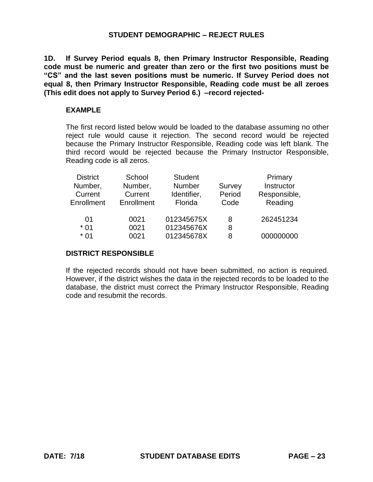**1D. If Survey Period equals 8, then Primary Instructor Responsible, Reading code must be numeric and greater than zero or the first two positions must be "CS" and the last seven positions must be numeric. If Survey Period does not equal 8, then Primary Instructor Responsible, Reading code must be all zeroes (This edit does not apply to Survey Period 6.) –record rejected-**

## **EXAMPLE**

The first record listed below would be loaded to the database assuming no other reject rule would cause it rejection. The second record would be rejected because the Primary Instructor Responsible, Reading code was left blank. The third record would be rejected because the Primary Instructor Responsible, Reading code is all zeros.

| <b>District</b><br>Number,<br>Current<br>Enrollment | School<br>Number,<br>Current<br>Enrollment | <b>Student</b><br>Number<br>Identifier,<br>Florida | Survey<br>Period<br>Code | Primary<br>Instructor<br>Responsible,<br>Reading |
|-----------------------------------------------------|--------------------------------------------|----------------------------------------------------|--------------------------|--------------------------------------------------|
| 01<br>$*01$                                         | 0021<br>0021                               | 012345675X<br>012345676X                           | 8<br>8                   | 262451234                                        |
| $*01$                                               | 0021                                       | 012345678X                                         | 8                        | 000000000                                        |

## **DISTRICT RESPONSIBLE**

If the rejected records should not have been submitted, no action is required. However, if the district wishes the data in the rejected records to be loaded to the database, the district must correct the Primary Instructor Responsible, Reading code and resubmit the records.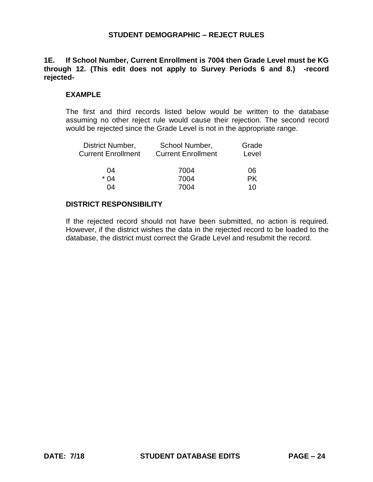**1E. If School Number, Current Enrollment is 7004 then Grade Level must be KG through 12. (This edit does not apply to Survey Periods 6 and 8.) -record rejected-**

#### **EXAMPLE**

The first and third records listed below would be written to the database assuming no other reject rule would cause their rejection. The second record would be rejected since the Grade Level is not in the appropriate range.

| District Number,          | School Number,            | Grade     |  |
|---------------------------|---------------------------|-----------|--|
| <b>Current Enrollment</b> | <b>Current Enrollment</b> | Level     |  |
| 04                        | 7004                      | 06        |  |
| $*$ 04                    | 7004                      | <b>PK</b> |  |
| 04                        | 7004                      | 10        |  |

#### **DISTRICT RESPONSIBILITY**

If the rejected record should not have been submitted, no action is required. However, if the district wishes the data in the rejected record to be loaded to the database, the district must correct the Grade Level and resubmit the record.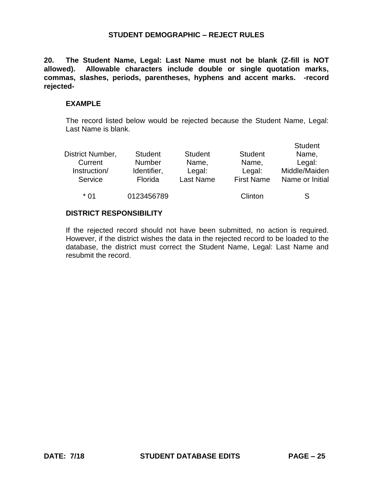**20. The Student Name, Legal: Last Name must not be blank (Z-fill is NOT allowed). Allowable characters include double or single quotation marks, commas, slashes, periods, parentheses, hyphens and accent marks. -record rejected-**

#### **EXAMPLE**

The record listed below would be rejected because the Student Name, Legal: Last Name is blank.

| District Number,<br>Current<br>Instruction/<br>Service | <b>Student</b><br><b>Number</b><br>Identifier,<br>Florida | <b>Student</b><br>Name,<br>Legal:<br><b>Last Name</b> | <b>Student</b><br>Name,<br>Legal:<br><b>First Name</b> | <b>Student</b><br>Name,<br>Legal:<br>Middle/Maiden<br>Name or Initial |
|--------------------------------------------------------|-----------------------------------------------------------|-------------------------------------------------------|--------------------------------------------------------|-----------------------------------------------------------------------|
| * 01                                                   | 0123456789                                                |                                                       | Clinton                                                | S                                                                     |

#### **DISTRICT RESPONSIBILITY**

If the rejected record should not have been submitted, no action is required. However, if the district wishes the data in the rejected record to be loaded to the database, the district must correct the Student Name, Legal: Last Name and resubmit the record.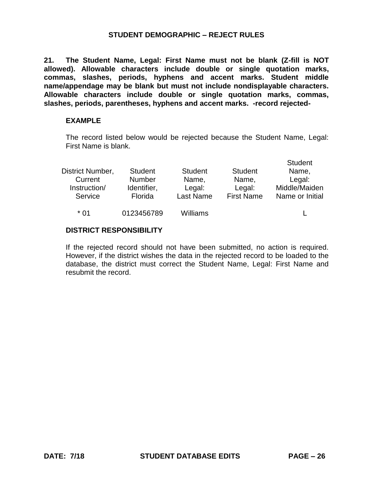**21. The Student Name, Legal: First Name must not be blank (Z-fill is NOT allowed). Allowable characters include double or single quotation marks, commas, slashes, periods, hyphens and accent marks. Student middle name/appendage may be blank but must not include nondisplayable characters. Allowable characters include double or single quotation marks, commas, slashes, periods, parentheses, hyphens and accent marks. -record rejected-**

#### **EXAMPLE**

The record listed below would be rejected because the Student Name, Legal: First Name is blank.

|                  |                |                |                   | Student         |
|------------------|----------------|----------------|-------------------|-----------------|
| District Number, | <b>Student</b> | <b>Student</b> | <b>Student</b>    | Name,           |
| Current          | <b>Number</b>  | Name,          | Name,             | Legal:          |
| Instruction/     | Identifier,    | Legal:         | Legal:            | Middle/Maiden   |
| Service          | Florida        | Last Name      | <b>First Name</b> | Name or Initial |
| $*$ 01           | 0123456789     | Williams       |                   |                 |
|                  |                |                |                   |                 |

#### **DISTRICT RESPONSIBILITY**

If the rejected record should not have been submitted, no action is required. However, if the district wishes the data in the rejected record to be loaded to the database, the district must correct the Student Name, Legal: First Name and resubmit the record.

Student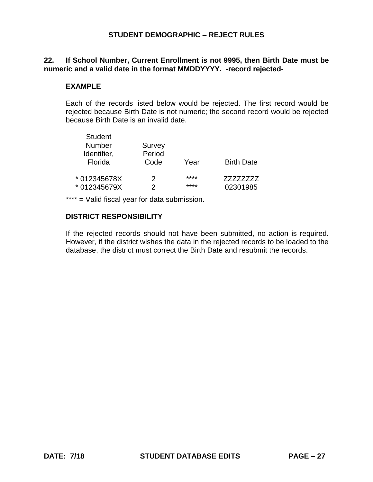## **22. If School Number, Current Enrollment is not 9995, then Birth Date must be numeric and a valid date in the format MMDDYYYY. -record rejected-**

### **EXAMPLE**

Student Student

Each of the records listed below would be rejected. The first record would be rejected because Birth Date is not numeric; the second record would be rejected because Birth Date is an invalid date.

| Student<br><b>Number</b><br>Identifier, | Survey<br>Period |      |                   |
|-----------------------------------------|------------------|------|-------------------|
| Florida                                 | Code             | Year | <b>Birth Date</b> |
| * 012345678X                            | 2                | **** | 77777777          |
| * 012345679X                            | 2                | **** | 02301985          |

\*\*\*\* = Valid fiscal year for data submission.

## **DISTRICT RESPONSIBILITY**

If the rejected records should not have been submitted, no action is required. However, if the district wishes the data in the rejected records to be loaded to the database, the district must correct the Birth Date and resubmit the records.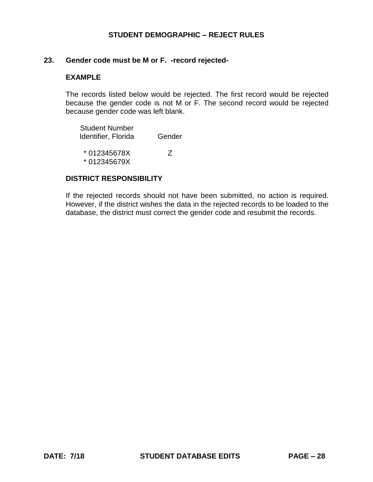#### **23. Gender code must be M or F. -record rejected-**

#### **EXAMPLE**

The records listed below would be rejected. The first record would be rejected because the gender code is not M or F. The second record would be rejected because gender code was left blank.

Student Number Identifier, Florida Gender

\* 012345678X \* 012345679X Z

#### **DISTRICT RESPONSIBILITY**

If the rejected records should not have been submitted, no action is required. However, if the district wishes the data in the rejected records to be loaded to the database, the district must correct the gender code and resubmit the records.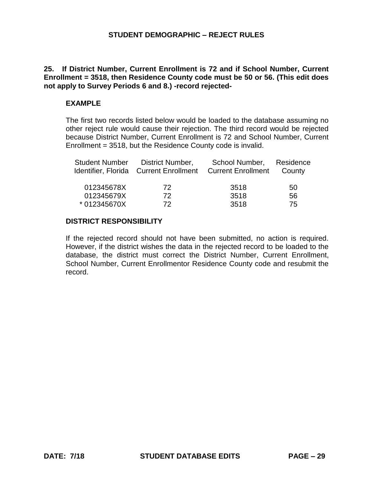**25. If District Number, Current Enrollment is 72 and if School Number, Current Enrollment = 3518, then Residence County code must be 50 or 56. (This edit does not apply to Survey Periods 6 and 8.) -record rejected-**

#### **EXAMPLE**

The first two records listed below would be loaded to the database assuming no other reject rule would cause their rejection. The third record would be rejected because District Number, Current Enrollment is 72 and School Number, Current Enrollment = 3518, but the Residence County code is invalid.

| <b>Student Number</b> | District Number,<br>Identifier, Florida Current Enrollment | School Number,<br><b>Current Enrollment</b> | Residence<br>County |
|-----------------------|------------------------------------------------------------|---------------------------------------------|---------------------|
| 012345678X            | 72.                                                        | 3518                                        | 50                  |
| 012345679X            | 72                                                         | 3518                                        | 56                  |
| * 012345670X          | 72                                                         | 3518                                        | 75                  |

## **DISTRICT RESPONSIBILITY**

If the rejected record should not have been submitted, no action is required. However, if the district wishes the data in the rejected record to be loaded to the database, the district must correct the District Number, Current Enrollment, School Number, Current Enrollmentor Residence County code and resubmit the record.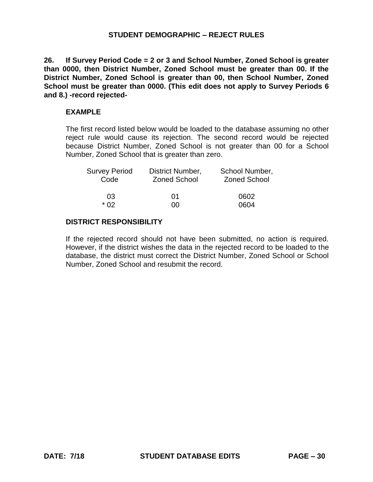**26. If Survey Period Code = 2 or 3 and School Number, Zoned School is greater than 0000, then District Number, Zoned School must be greater than 00. If the District Number, Zoned School is greater than 00, then School Number, Zoned School must be greater than 0000. (This edit does not apply to Survey Periods 6 and 8.) -record rejected-**

#### **EXAMPLE**

The first record listed below would be loaded to the database assuming no other reject rule would cause its rejection. The second record would be rejected because District Number, Zoned School is not greater than 00 for a School Number, Zoned School that is greater than zero.

| <b>Survey Period</b> | District Number,    | School Number,      |
|----------------------|---------------------|---------------------|
| Code                 | <b>Zoned School</b> | <b>Zoned School</b> |
| 03                   | በ1                  | 0602                |
| * በ2                 | იი                  | 0604                |

#### **DISTRICT RESPONSIBILITY**

If the rejected record should not have been submitted, no action is required. However, if the district wishes the data in the rejected record to be loaded to the database, the district must correct the District Number, Zoned School or School Number, Zoned School and resubmit the record.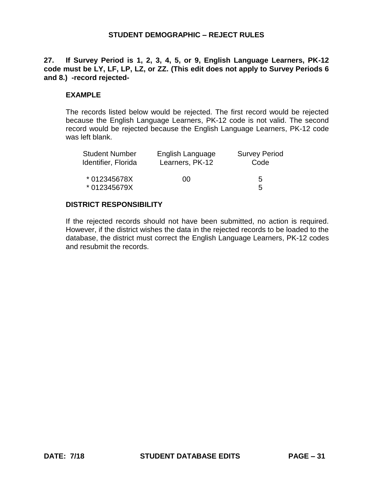## **27. If Survey Period is 1, 2, 3, 4, 5, or 9, English Language Learners, PK-12 code must be LY, LF, LP, LZ, or ZZ. (This edit does not apply to Survey Periods 6 and 8.) -record rejected-**

### **EXAMPLE**

The records listed below would be rejected. The first record would be rejected because the English Language Learners, PK-12 code is not valid. The second record would be rejected because the English Language Learners, PK-12 code was left blank.

| <b>Student Number</b>        | English Language | <b>Survey Period</b> |
|------------------------------|------------------|----------------------|
| Identifier, Florida          | Learners, PK-12  | Code                 |
| * 012345678X<br>* 012345679X | 00               | 5<br>5               |

#### **DISTRICT RESPONSIBILITY**

If the rejected records should not have been submitted, no action is required. However, if the district wishes the data in the rejected records to be loaded to the database, the district must correct the English Language Learners, PK-12 codes and resubmit the records.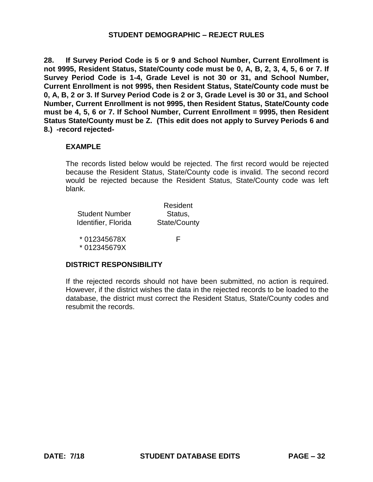**28. If Survey Period Code is 5 or 9 and School Number, Current Enrollment is not 9995, Resident Status, State/County code must be 0, A, B, 2, 3, 4, 5, 6 or 7. If Survey Period Code is 1-4, Grade Level is not 30 or 31, and School Number, Current Enrollment is not 9995, then Resident Status, State/County code must be 0, A, B, 2 or 3. If Survey Period Code is 2 or 3, Grade Level is 30 or 31, and School Number, Current Enrollment is not 9995, then Resident Status, State/County code must be 4, 5, 6 or 7. If School Number, Current Enrollment = 9995, then Resident Status State/County must be Z. (This edit does not apply to Survey Periods 6 and 8.) -record rejected-**

## **EXAMPLE**

The records listed below would be rejected. The first record would be rejected because the Resident Status, State/County code is invalid. The second record would be rejected because the Resident Status, State/County code was left blank.

|                     | Resident     |
|---------------------|--------------|
| Student Number      | Status,      |
| Identifier, Florida | State/County |
| *012345678X         |              |

\* 012345679X

#### **DISTRICT RESPONSIBILITY**

If the rejected records should not have been submitted, no action is required. However, if the district wishes the data in the rejected records to be loaded to the database, the district must correct the Resident Status, State/County codes and resubmit the records.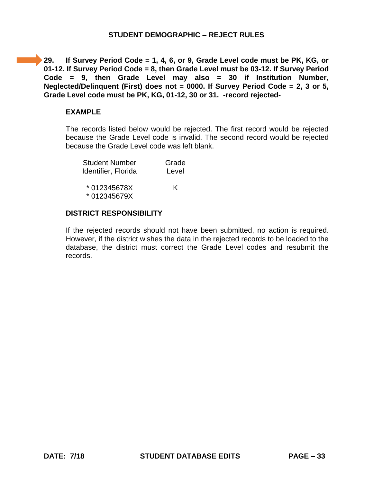**29. If Survey Period Code = 1, 4, 6, or 9, Grade Level code must be PK, KG, or 01-12. If Survey Period Code = 8, then Grade Level must be 03-12. If Survey Period Code = 9, then Grade Level may also = 30 if Institution Number, Neglected/Delinquent (First) does not = 0000. If Survey Period Code = 2, 3 or 5, Grade Level code must be PK, KG, 01-12, 30 or 31. -record rejected-**

#### **EXAMPLE**

The records listed below would be rejected. The first record would be rejected because the Grade Level code is invalid. The second record would be rejected because the Grade Level code was left blank.

| <b>Student Number</b> | Grade |
|-----------------------|-------|
| Identifier, Florida   | Level |
|                       |       |
| *012345678X           | K     |
| * 012345679X          |       |

#### **DISTRICT RESPONSIBILITY**

If the rejected records should not have been submitted, no action is required. However, if the district wishes the data in the rejected records to be loaded to the database, the district must correct the Grade Level codes and resubmit the records.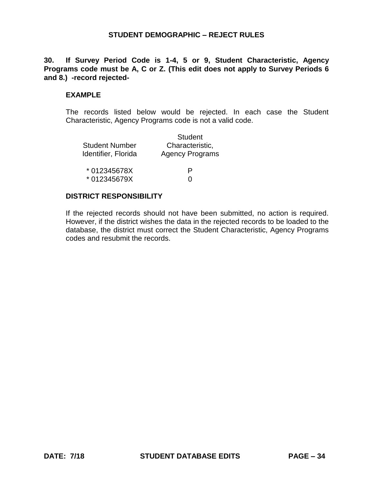**30. If Survey Period Code is 1-4, 5 or 9, Student Characteristic, Agency Programs code must be A, C or Z. (This edit does not apply to Survey Periods 6 and 8.) -record rejected-**

### **EXAMPLE**

The records listed below would be rejected. In each case the Student Characteristic, Agency Programs code is not a valid code.

|                       | <b>Student</b>         |  |
|-----------------------|------------------------|--|
| <b>Student Number</b> | Characteristic,        |  |
| Identifier, Florida   | <b>Agency Programs</b> |  |
| * 012345678X          | Р                      |  |
| *012345679X           | $\mathbf{\Omega}$      |  |

#### **DISTRICT RESPONSIBILITY**

If the rejected records should not have been submitted, no action is required. However, if the district wishes the data in the rejected records to be loaded to the database, the district must correct the Student Characteristic, Agency Programs codes and resubmit the records.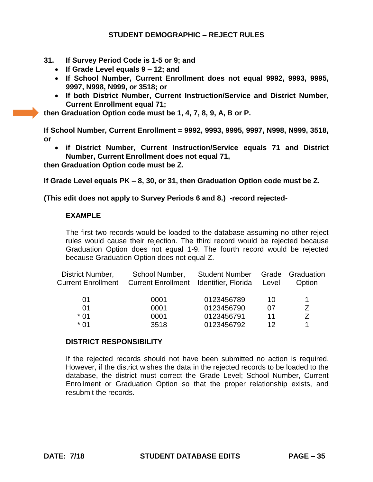- **31. If Survey Period Code is 1-5 or 9; and** 
	- **If Grade Level equals 9 – 12; and**
	- **If School Number, Current Enrollment does not equal 9992, 9993, 9995, 9997, N998, N999, or 3518; or**
	- **If both District Number, Current Instruction/Service and District Number, Current Enrollment equal 71;**

**then Graduation Option code must be 1, 4, 7, 8, 9, A, B or P.** 

**If School Number, Current Enrollment = 9992, 9993, 9995, 9997, N998, N999, 3518, or** 

 **if District Number, Current Instruction/Service equals 71 and District Number, Current Enrollment does not equal 71,** 

**then Graduation Option code must be Z.** 

**If Grade Level equals PK – 8, 30, or 31, then Graduation Option code must be Z.** 

#### **(This edit does not apply to Survey Periods 6 and 8.) -record rejected-**

#### **EXAMPLE**

The first two records would be loaded to the database assuming no other reject rules would cause their rejection. The third record would be rejected because Graduation Option does not equal 1-9. The fourth record would be rejected because Graduation Option does not equal Z.

| District Number,<br><b>Current Enrollment</b> | School Number,<br><b>Current Enrollment</b> | <b>Student Number</b><br>Identifier, Florida | Level | Grade Graduation<br>Option |
|-----------------------------------------------|---------------------------------------------|----------------------------------------------|-------|----------------------------|
| 01                                            | 0001                                        | 0123456789                                   | 10    |                            |
| 01                                            | 0001                                        | 0123456790                                   | 07    | 7                          |
| $*$ 01                                        | 0001                                        | 0123456791                                   | 11    | 7                          |
| * በ1                                          | 3518                                        | 0123456792                                   | 12    |                            |

#### **DISTRICT RESPONSIBILITY**

If the rejected records should not have been submitted no action is required. However, if the district wishes the data in the rejected records to be loaded to the database, the district must correct the Grade Level; School Number, Current Enrollment or Graduation Option so that the proper relationship exists, and resubmit the records.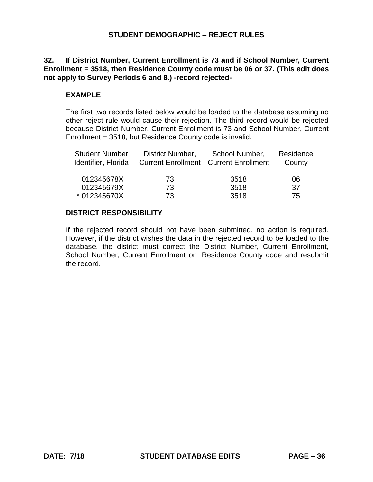## **32. If District Number, Current Enrollment is 73 and if School Number, Current Enrollment = 3518, then Residence County code must be 06 or 37. (This edit does not apply to Survey Periods 6 and 8.) -record rejected-**

## **EXAMPLE**

The first two records listed below would be loaded to the database assuming no other reject rule would cause their rejection. The third record would be rejected because District Number, Current Enrollment is 73 and School Number, Current Enrollment = 3518, but Residence County code is invalid.

| <b>Student Number</b><br>Identifier, Florida | District Number, | School Number,<br><b>Current Enrollment Current Enrollment</b> | Residence<br>County |
|----------------------------------------------|------------------|----------------------------------------------------------------|---------------------|
| 012345678X                                   | 73.              | 3518                                                           | 06                  |
| 012345679X                                   | 73               | 3518                                                           | -37                 |
| * 012345670X                                 | 73               | 3518                                                           | 75                  |

#### **DISTRICT RESPONSIBILITY**

If the rejected record should not have been submitted, no action is required. However, if the district wishes the data in the rejected record to be loaded to the database, the district must correct the District Number, Current Enrollment, School Number, Current Enrollment or Residence County code and resubmit the record.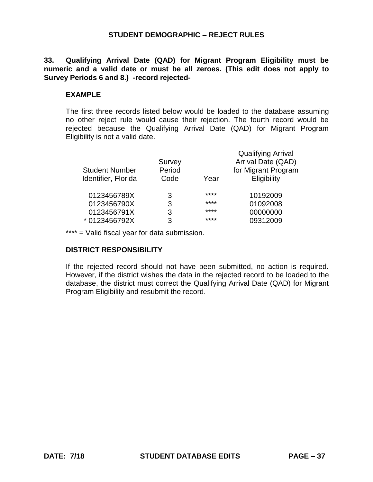**33. Qualifying Arrival Date (QAD) for Migrant Program Eligibility must be numeric and a valid date or must be all zeroes. (This edit does not apply to Survey Periods 6 and 8.) -record rejected-**

# **EXAMPLE**

The first three records listed below would be loaded to the database assuming no other reject rule would cause their rejection. The fourth record would be rejected because the Qualifying Arrival Date (QAD) for Migrant Program Eligibility is not a valid date.

|                       |        |      | <b>Qualifying Arrival</b> |
|-----------------------|--------|------|---------------------------|
|                       | Survey |      | Arrival Date (QAD)        |
| <b>Student Number</b> | Period |      | for Migrant Program       |
| Identifier, Florida   | Code   | Year | Eligibility               |
|                       |        |      |                           |
| 0123456789X           | 3      | **** | 10192009                  |
| 0123456790X           | 3      | **** | 01092008                  |
| 0123456791X           | 3      | **** | 00000000                  |
| *0123456792X          | 3      | **** | 09312009                  |
|                       |        |      |                           |

\*\*\*\* = Valid fiscal year for data submission.

# **DISTRICT RESPONSIBILITY**

If the rejected record should not have been submitted, no action is required. However, if the district wishes the data in the rejected record to be loaded to the database, the district must correct the Qualifying Arrival Date (QAD) for Migrant Program Eligibility and resubmit the record.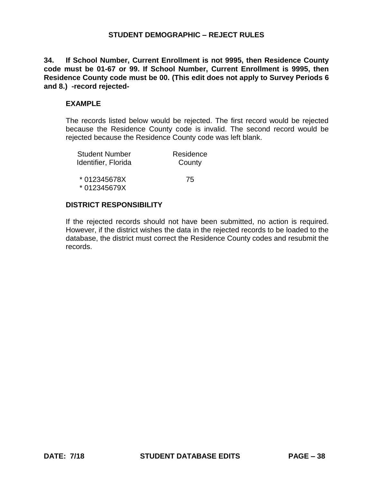**34. If School Number, Current Enrollment is not 9995, then Residence County code must be 01-67 or 99. If School Number, Current Enrollment is 9995, then Residence County code must be 00. (This edit does not apply to Survey Periods 6 and 8.) -record rejected-**

#### **EXAMPLE**

The records listed below would be rejected. The first record would be rejected because the Residence County code is invalid. The second record would be rejected because the Residence County code was left blank.

| <b>Student Number</b> | Residence |
|-----------------------|-----------|
| Identifier, Florida   | County    |
| * 012345678X          | 75        |
| *012345679X           |           |

#### **DISTRICT RESPONSIBILITY**

If the rejected records should not have been submitted, no action is required. However, if the district wishes the data in the rejected records to be loaded to the database, the district must correct the Residence County codes and resubmit the records.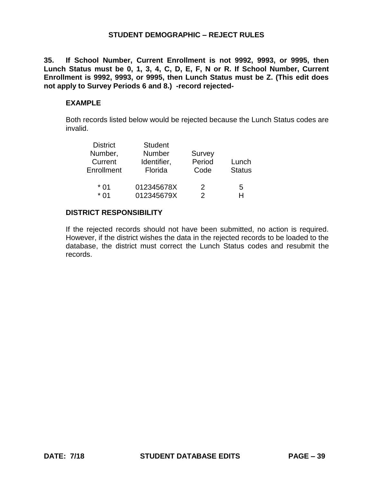**35. If School Number, Current Enrollment is not 9992, 9993, or 9995, then Lunch Status must be 0, 1, 3, 4, C, D, E, F, N or R. If School Number, Current Enrollment is 9992, 9993, or 9995, then Lunch Status must be Z. (This edit does not apply to Survey Periods 6 and 8.) -record rejected-**

#### **EXAMPLE**

Both records listed below would be rejected because the Lunch Status codes are invalid.

| <b>Student</b> |            |               |
|----------------|------------|---------------|
| <b>Number</b>  | Survey     |               |
| Identifier,    | Period     | Lunch         |
| Florida        | Code       | <b>Status</b> |
|                |            |               |
|                | 2          | 5             |
| 012345679X     | 2          | H             |
|                | 012345678X |               |

### **DISTRICT RESPONSIBILITY**

If the rejected records should not have been submitted, no action is required. However, if the district wishes the data in the rejected records to be loaded to the database, the district must correct the Lunch Status codes and resubmit the records.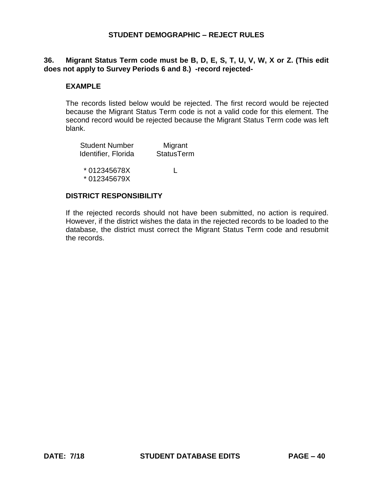# **36. Migrant Status Term code must be B, D, E, S, T, U, V, W, X or Z. (This edit does not apply to Survey Periods 6 and 8.) -record rejected-**

### **EXAMPLE**

The records listed below would be rejected. The first record would be rejected because the Migrant Status Term code is not a valid code for this element. The second record would be rejected because the Migrant Status Term code was left blank.

| <b>Student Number</b> | Migrant           |  |
|-----------------------|-------------------|--|
| Identifier, Florida   | <b>StatusTerm</b> |  |
|                       |                   |  |
| * 012345678X          | L                 |  |
| *012345679X           |                   |  |
|                       |                   |  |

### **DISTRICT RESPONSIBILITY**

If the rejected records should not have been submitted, no action is required. However, if the district wishes the data in the rejected records to be loaded to the database, the district must correct the Migrant Status Term code and resubmit the records.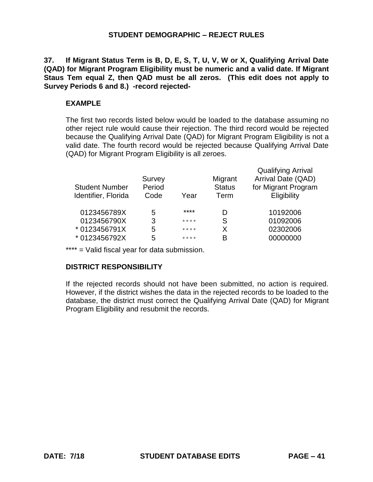**37. If Migrant Status Term is B, D, E, S, T, U, V, W or X, Qualifying Arrival Date (QAD) for Migrant Program Eligibility must be numeric and a valid date. If Migrant Staus Tem equal Z, then QAD must be all zeros. (This edit does not apply to Survey Periods 6 and 8.) -record rejected-**

#### **EXAMPLE**

The first two records listed below would be loaded to the database assuming no other reject rule would cause their rejection. The third record would be rejected because the Qualifying Arrival Date (QAD) for Migrant Program Eligibility is not a valid date. The fourth record would be rejected because Qualifying Arrival Date (QAD) for Migrant Program Eligibility is all zeroes.

| <b>Student Number</b><br>Identifier, Florida | Survey<br>Period<br>Code | Year    | Migrant<br><b>Status</b><br>Term | <b>Qualifying Arrival</b><br>Arrival Date (QAD)<br>for Migrant Program<br>Eligibility |
|----------------------------------------------|--------------------------|---------|----------------------------------|---------------------------------------------------------------------------------------|
| 0123456789X                                  | 5                        | ****    | D                                | 10192006                                                                              |
| 0123456790X                                  | 3                        | $***$ * | S                                | 01092006                                                                              |
| * 0123456791X                                | 5                        | $***$ * | X                                | 02302006                                                                              |
| * 0123456792X                                | 5                        | $***$ * | B                                | 00000000                                                                              |

\*\*\*\* = Valid fiscal year for data submission.

#### **DISTRICT RESPONSIBILITY**

If the rejected records should not have been submitted, no action is required. However, if the district wishes the data in the rejected records to be loaded to the database, the district must correct the Qualifying Arrival Date (QAD) for Migrant Program Eligibility and resubmit the records.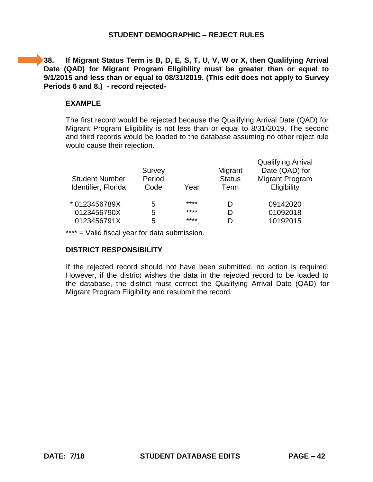**38. If Migrant Status Term is B, D, E, S, T, U, V, W or X, then Qualifying Arrival Date (QAD) for Migrant Program Eligibility must be greater than or equal to 9/1/2015 and less than or equal to 08/31/2019. (This edit does not apply to Survey Periods 6 and 8.) - record rejected-**

#### **EXAMPLE**

The first record would be rejected because the Qualifying Arrival Date (QAD) for Migrant Program Eligibility is not less than or equal to 8/31/2019. The second and third records would be loaded to the database assuming no other reject rule would cause their rejection.

| <b>Student Number</b><br>Identifier, Florida | Survey<br>Period<br>Code | Year | Migrant<br><b>Status</b><br>Term | <b>Qualifying Arrival</b><br>Date (QAD) for<br><b>Migrant Program</b><br>Eligibility |
|----------------------------------------------|--------------------------|------|----------------------------------|--------------------------------------------------------------------------------------|
| * 0123456789X                                | 5                        | **** |                                  | 09142020                                                                             |
| 0123456790X                                  | 5                        | **** |                                  | 01092018                                                                             |
| 0123456791X                                  | 5                        | **** |                                  | 10192015                                                                             |

\*\*\*\* = Valid fiscal year for data submission.

# **DISTRICT RESPONSIBILITY**

If the rejected record should not have been submitted, no action is required. However, if the district wishes the data in the rejected record to be loaded to the database, the district must correct the Qualifying Arrival Date (QAD) for Migrant Program Eligibility and resubmit the record.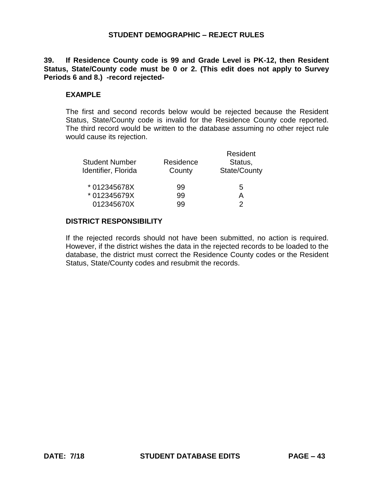# **39. If Residence County code is 99 and Grade Level is PK-12, then Resident Status, State/County code must be 0 or 2. (This edit does not apply to Survey Periods 6 and 8.) -record rejected-**

# **EXAMPLE**

The first and second records below would be rejected because the Resident Status, State/County code is invalid for the Residence County code reported. The third record would be written to the database assuming no other reject rule would cause its rejection.

| <b>Student Number</b><br>Identifier, Florida | Residence<br>County | Resident<br>Status,<br>State/County |
|----------------------------------------------|---------------------|-------------------------------------|
| * 012345678X                                 | 99                  | 5                                   |
| * 012345679X                                 | 99                  | А                                   |
| 012345670X                                   | qq                  |                                     |

### **DISTRICT RESPONSIBILITY**

If the rejected records should not have been submitted, no action is required. However, if the district wishes the data in the rejected records to be loaded to the database, the district must correct the Residence County codes or the Resident Status, State/County codes and resubmit the records.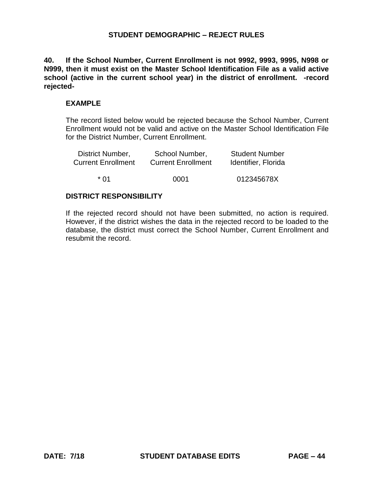**40. If the School Number, Current Enrollment is not 9992, 9993, 9995, N998 or N999, then it must exist on the Master School Identification File as a valid active school (active in the current school year) in the district of enrollment. -record rejected-**

#### **EXAMPLE**

The record listed below would be rejected because the School Number, Current Enrollment would not be valid and active on the Master School Identification File for the District Number, Current Enrollment.

| District Number,          | School Number,            | <b>Student Number</b> |
|---------------------------|---------------------------|-----------------------|
| <b>Current Enrollment</b> | <b>Current Enrollment</b> | Identifier, Florida   |
| * በ1                      | 0001                      | 012345678X            |
|                           |                           |                       |

#### **DISTRICT RESPONSIBILITY**

If the rejected record should not have been submitted, no action is required. However, if the district wishes the data in the rejected record to be loaded to the database, the district must correct the School Number, Current Enrollment and resubmit the record.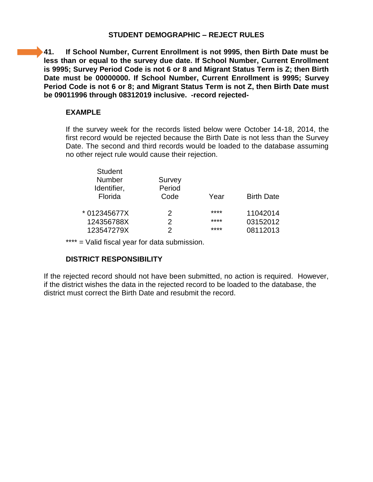**41. If School Number, Current Enrollment is not 9995, then Birth Date must be less than or equal to the survey due date. If School Number, Current Enrollment is 9995; Survey Period Code is not 6 or 8 and Migrant Status Term is Z; then Birth Date must be 00000000. If School Number, Current Enrollment is 9995; Survey Period Code is not 6 or 8; and Migrant Status Term is not Z, then Birth Date must be 09011996 through 08312019 inclusive. -record rejected-**

### **EXAMPLE**

If the survey week for the records listed below were October 14-18, 2014, the first record would be rejected because the Birth Date is not less than the Survey Date. The second and third records would be loaded to the database assuming no other reject rule would cause their rejection.

| Survey |      |                   |
|--------|------|-------------------|
| Period |      |                   |
| Code   | Year | <b>Birth Date</b> |
| 2      | **** | 11042014          |
| 2      | **** | 03152012          |
| 2      | **** | 08112013          |
|        |      |                   |

\*\*\*\* = Valid fiscal year for data submission.

# **DISTRICT RESPONSIBILITY**

If the rejected record should not have been submitted, no action is required. However, if the district wishes the data in the rejected record to be loaded to the database, the district must correct the Birth Date and resubmit the record.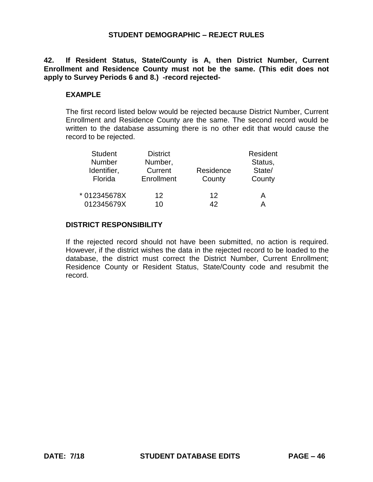**42. If Resident Status, State/County is A, then District Number, Current Enrollment and Residence County must not be the same. (This edit does not apply to Survey Periods 6 and 8.) -record rejected-**

# **EXAMPLE**

The first record listed below would be rejected because District Number, Current Enrollment and Residence County are the same. The second record would be written to the database assuming there is no other edit that would cause the record to be rejected.

| <b>Student</b><br>Number<br>Identifier,<br>Florida | <b>District</b><br>Number,<br>Current<br>Enrollment | Residence<br>County | Resident<br>Status,<br>State/<br>County |
|----------------------------------------------------|-----------------------------------------------------|---------------------|-----------------------------------------|
| * 012345678X                                       | 12                                                  | 12                  | А                                       |
| 012345679X                                         | 10                                                  | ハつ                  |                                         |

### **DISTRICT RESPONSIBILITY**

If the rejected record should not have been submitted, no action is required. However, if the district wishes the data in the rejected record to be loaded to the database, the district must correct the District Number, Current Enrollment; Residence County or Resident Status, State/County code and resubmit the record.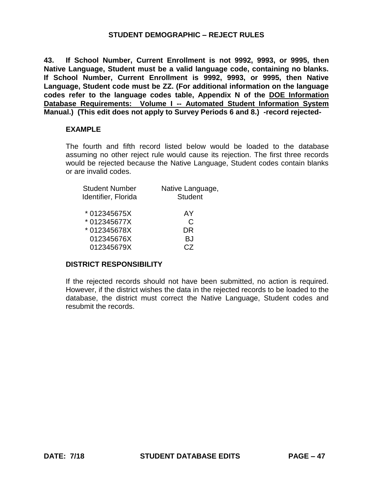**43. If School Number, Current Enrollment is not 9992, 9993, or 9995, then Native Language, Student must be a valid language code, containing no blanks. If School Number, Current Enrollment is 9992, 9993, or 9995, then Native Language, Student code must be ZZ. (For additional information on the language codes refer to the language codes table, Appendix N of the DOE Information Database Requirements: Volume I -- Automated Student Information System Manual.) (This edit does not apply to Survey Periods 6 and 8.) -record rejected-**

#### **EXAMPLE**

The fourth and fifth record listed below would be loaded to the database assuming no other reject rule would cause its rejection. The first three records would be rejected because the Native Language, Student codes contain blanks or are invalid codes.

| Native Language, |
|------------------|
| <b>Student</b>   |
|                  |
| AY               |
| C                |
| DR               |
| BJ.              |
| C.Z              |
|                  |

#### **DISTRICT RESPONSIBILITY**

If the rejected records should not have been submitted, no action is required. However, if the district wishes the data in the rejected records to be loaded to the database, the district must correct the Native Language, Student codes and resubmit the records.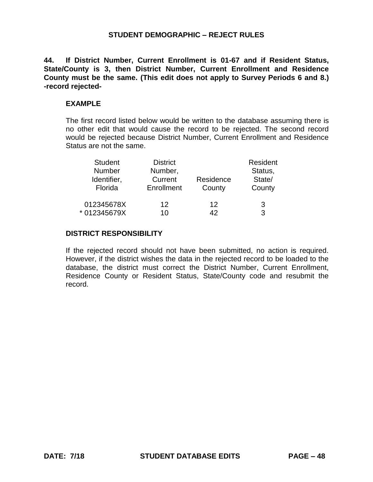**44. If District Number, Current Enrollment is 01-67 and if Resident Status, State/County is 3, then District Number, Current Enrollment and Residence County must be the same. (This edit does not apply to Survey Periods 6 and 8.) -record rejected-**

#### **EXAMPLE**

The first record listed below would be written to the database assuming there is no other edit that would cause the record to be rejected. The second record would be rejected because District Number, Current Enrollment and Residence Status are not the same.

| <b>Student</b> | <b>District</b> |           | Resident |  |
|----------------|-----------------|-----------|----------|--|
| <b>Number</b>  | Number,         |           | Status,  |  |
| Identifier,    | Current         | Residence | State/   |  |
| Florida        | Enrollment      | County    | County   |  |
| 012345678X     | 12              | 12        | 3        |  |
| * 012345679X   | 10              | 42        | 3        |  |

#### **DISTRICT RESPONSIBILITY**

If the rejected record should not have been submitted, no action is required. However, if the district wishes the data in the rejected record to be loaded to the database, the district must correct the District Number, Current Enrollment, Residence County or Resident Status, State/County code and resubmit the record.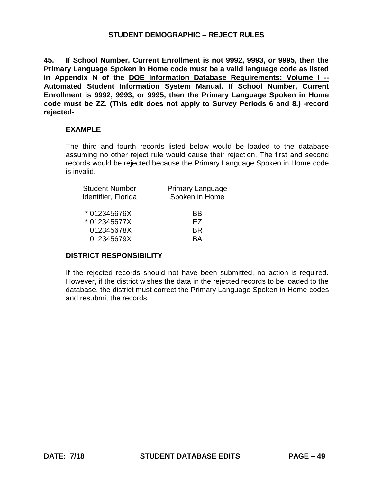**45. If School Number, Current Enrollment is not 9992, 9993, or 9995, then the Primary Language Spoken in Home code must be a valid language code as listed in Appendix N of the DOE Information Database Requirements: Volume I -- Automated Student Information System Manual. If School Number, Current Enrollment is 9992, 9993, or 9995, then the Primary Language Spoken in Home code must be ZZ. (This edit does not apply to Survey Periods 6 and 8.) -record rejected-**

#### **EXAMPLE**

The third and fourth records listed below would be loaded to the database assuming no other reject rule would cause their rejection. The first and second records would be rejected because the Primary Language Spoken in Home code is invalid.

| <b>Primary Language</b><br>Spoken in Home |
|-------------------------------------------|
| BB                                        |
| FZ.                                       |
| <b>BR</b>                                 |
| RΔ                                        |
|                                           |

#### **DISTRICT RESPONSIBILITY**

If the rejected records should not have been submitted, no action is required. However, if the district wishes the data in the rejected records to be loaded to the database, the district must correct the Primary Language Spoken in Home codes and resubmit the records.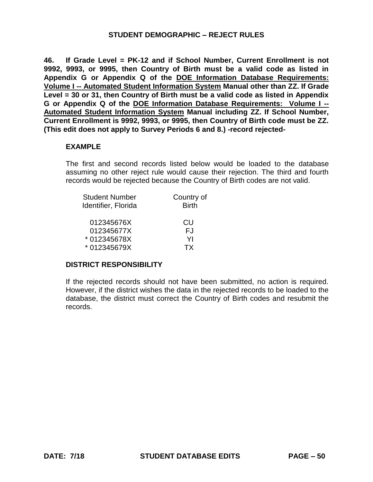**46. If Grade Level = PK-12 and if School Number, Current Enrollment is not 9992, 9993, or 9995, then Country of Birth must be a valid code as listed in Appendix G or Appendix Q of the DOE Information Database Requirements: Volume I -- Automated Student Information System Manual other than ZZ. If Grade Level = 30 or 31, then Country of Birth must be a valid code as listed in Appendix G or Appendix Q of the DOE Information Database Requirements: Volume I -- Automated Student Information System Manual including ZZ. If School Number, Current Enrollment is 9992, 9993, or 9995, then Country of Birth code must be ZZ. (This edit does not apply to Survey Periods 6 and 8.) -record rejected-**

#### **EXAMPLE**

The first and second records listed below would be loaded to the database assuming no other reject rule would cause their rejection. The third and fourth records would be rejected because the Country of Birth codes are not valid.

| <b>Student Number</b> | Country of   |
|-----------------------|--------------|
| Identifier, Florida   | <b>Birth</b> |
|                       |              |
| 012345676X            | CU           |
| 012345677X            | FJ.          |
| * 012345678X          | YI           |
| * 012345679X          | ТX           |

#### **DISTRICT RESPONSIBILITY**

If the rejected records should not have been submitted, no action is required. However, if the district wishes the data in the rejected records to be loaded to the database, the district must correct the Country of Birth codes and resubmit the records.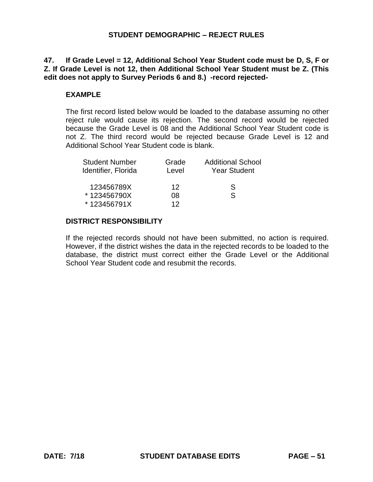# **47. If Grade Level = 12, Additional School Year Student code must be D, S, F or Z. If Grade Level is not 12, then Additional School Year Student must be Z. (This edit does not apply to Survey Periods 6 and 8.) -record rejected-**

# **EXAMPLE**

The first record listed below would be loaded to the database assuming no other reject rule would cause its rejection. The second record would be rejected because the Grade Level is 08 and the Additional School Year Student code is not Z. The third record would be rejected because Grade Level is 12 and Additional School Year Student code is blank.

| <b>Student Number</b><br>Identifier, Florida | Grade<br>Level | <b>Additional School</b><br><b>Year Student</b> |
|----------------------------------------------|----------------|-------------------------------------------------|
| 123456789X                                   | 12             | S                                               |
| *123456790X                                  | 08             | S                                               |
| *123456791X                                  | 12             |                                                 |

# **DISTRICT RESPONSIBILITY**

If the rejected records should not have been submitted, no action is required. However, if the district wishes the data in the rejected records to be loaded to the database, the district must correct either the Grade Level or the Additional School Year Student code and resubmit the records.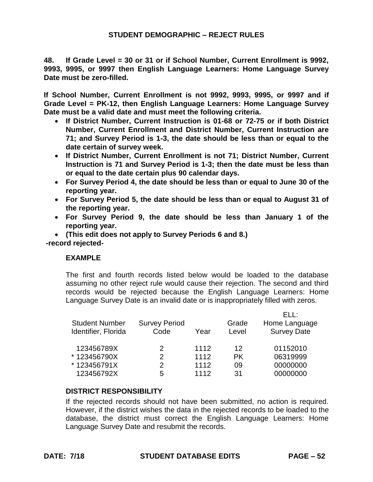**48. If Grade Level = 30 or 31 or if School Number, Current Enrollment is 9992, 9993, 9995, or 9997 then English Language Learners: Home Language Survey Date must be zero-filled.** 

**If School Number, Current Enrollment is not 9992, 9993, 9995, or 9997 and if Grade Level = PK-12, then English Language Learners: Home Language Survey Date must be a valid date and must meet the following criteria.** 

- **If District Number, Current Instruction is 01-68 or 72-75 or if both District Number, Current Enrollment and District Number, Current Instruction are 71; and Survey Period is 1-3, the date should be less than or equal to the date certain of survey week.**
- **If District Number, Current Enrollment is not 71; District Number, Current Instruction is 71 and Survey Period is 1-3; then the date must be less than or equal to the date certain plus 90 calendar days.**
- **For Survey Period 4, the date should be less than or equal to June 30 of the reporting year.**
- **For Survey Period 5, the date should be less than or equal to August 31 of the reporting year.**
- **For Survey Period 9, the date should be less than January 1 of the reporting year.**

 **(This edit does not apply to Survey Periods 6 and 8.) -record rejected-**

# **EXAMPLE**

The first and fourth records listed below would be loaded to the database assuming no other reject rule would cause their rejection. The second and third records would be rejected because the English Language Learners: Home Language Survey Date is an invalid date or is inappropriately filled with zeros.

| <b>Student Number</b><br>Identifier, Florida | <b>Survey Period</b><br>Code | Year | Grade<br>Level | <b>FII</b><br>Home Language<br><b>Survey Date</b> |
|----------------------------------------------|------------------------------|------|----------------|---------------------------------------------------|
| 123456789X                                   | 2                            | 1112 | 12             | 01152010                                          |
| *123456790X                                  | 2                            | 1112 | PK             | 06319999                                          |
| *123456791X                                  | 2                            | 1112 | 09             | 00000000                                          |
| 123456792X                                   | 5                            | 1112 | .31            | 00000000                                          |

# **DISTRICT RESPONSIBILITY**

If the rejected records should not have been submitted, no action is required. However, if the district wishes the data in the rejected records to be loaded to the database, the district must correct the English Language Learners: Home Language Survey Date and resubmit the records.

 $\sim$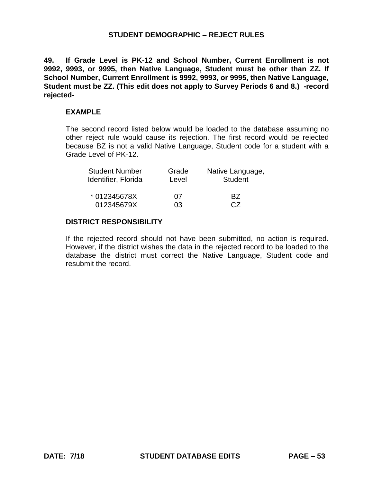**49. If Grade Level is PK-12 and School Number, Current Enrollment is not 9992, 9993, or 9995, then Native Language, Student must be other than ZZ. If School Number, Current Enrollment is 9992, 9993, or 9995, then Native Language, Student must be ZZ. (This edit does not apply to Survey Periods 6 and 8.) -record rejected-**

#### **EXAMPLE**

The second record listed below would be loaded to the database assuming no other reject rule would cause its rejection. The first record would be rejected because BZ is not a valid Native Language, Student code for a student with a Grade Level of PK-12.

| <b>Student Number</b> | Grade | Native Language, |
|-----------------------|-------|------------------|
| Identifier, Florida   | Level | <b>Student</b>   |
| * 012345678X          | 07    | R7               |
| 012345679X            | 03    | C.Z              |

#### **DISTRICT RESPONSIBILITY**

If the rejected record should not have been submitted, no action is required. However, if the district wishes the data in the rejected record to be loaded to the database the district must correct the Native Language, Student code and resubmit the record.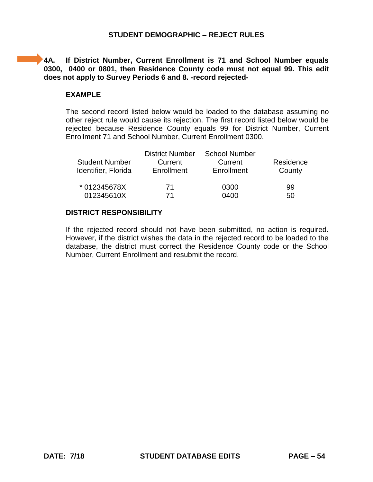**4A. If District Number, Current Enrollment is 71 and School Number equals 0300, 0400 or 0801, then Residence County code must not equal 99. This edit does not apply to Survey Periods 6 and 8. -record rejected-**

### **EXAMPLE**

The second record listed below would be loaded to the database assuming no other reject rule would cause its rejection. The first record listed below would be rejected because Residence County equals 99 for District Number, Current Enrollment 71 and School Number, Current Enrollment 0300.

| <b>District Number</b><br><b>Student Number</b><br>Current<br>Identifier, Florida<br>Enrollment |    | <b>School Number</b><br>Current<br>Enrollment | Residence<br>County |
|-------------------------------------------------------------------------------------------------|----|-----------------------------------------------|---------------------|
| * 012345678X                                                                                    | 71 | 0300                                          | 99                  |
| 012345610X                                                                                      | 71 | 0400                                          | 50                  |

#### **DISTRICT RESPONSIBILITY**

If the rejected record should not have been submitted, no action is required. However, if the district wishes the data in the rejected record to be loaded to the database, the district must correct the Residence County code or the School Number, Current Enrollment and resubmit the record.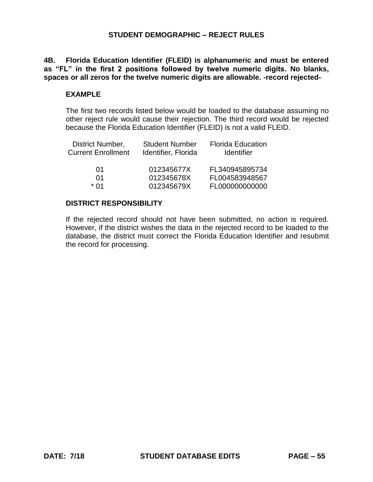**as "FL" in the first 2 positions followed by twelve numeric digits. No blanks, 4B. Florida Education Identifier (FLEID) is alphanumeric and must be entered spaces or all zeros for the twelve numeric digits are allowable. -record rejected-**

### **EXAMPLE**

The first two records listed below would be loaded to the database assuming no other reject rule would cause their rejection. The third record would be rejected because the Florida Education Identifier (FLEID) is not a valid FLEID.

| District Number,<br><b>Current Enrollment</b> | <b>Student Number</b><br>Identifier, Florida | <b>Florida Education</b><br><b>Identifier</b> |
|-----------------------------------------------|----------------------------------------------|-----------------------------------------------|
| 01                                            | 012345677X                                   | FL340945895734                                |
| 01                                            | 012345678X                                   | FL004583948567                                |
| * በ1                                          | 012345679X                                   | FL000000000000                                |

### **DISTRICT RESPONSIBILITY**

If the rejected record should not have been submitted, no action is required. However, if the district wishes the data in the rejected record to be loaded to the database, the district must correct the Florida Education Identifier and resubmit the record for processing.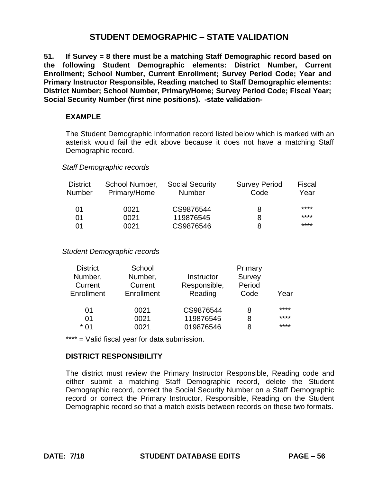**51. If Survey = 8 there must be a matching Staff Demographic record based on the following Student Demographic elements: District Number, Current Enrollment; School Number, Current Enrollment; Survey Period Code; Year and Primary Instructor Responsible, Reading matched to Staff Demographic elements: District Number; School Number, Primary/Home; Survey Period Code; Fiscal Year; Social Security Number (first nine positions). -state validation-**

# **EXAMPLE**

The Student Demographic Information record listed below which is marked with an asterisk would fail the edit above because it does not have a matching Staff Demographic record.

#### *Staff Demographic records*

| <b>District</b><br>Number | School Number,<br>Primary/Home | <b>Social Security</b><br><b>Number</b> | <b>Survey Period</b><br>Code | Fiscal<br>Year |
|---------------------------|--------------------------------|-----------------------------------------|------------------------------|----------------|
| 01                        | 0021                           | CS9876544                               | 8                            | ****           |
| 01                        | 0021                           | 119876545                               | 8                            | ****           |
| 01                        | 0021                           | CS9876546                               | 8                            | ****           |

*Student Demographic records* 

| <b>District</b> | School     |              | Primary |      |
|-----------------|------------|--------------|---------|------|
| Number,         | Number,    | Instructor   | Survey  |      |
| Current         | Current    | Responsible, | Period  |      |
| Enrollment      | Enrollment | Reading      | Code    | Year |
| 01              | 0021       | CS9876544    | 8       | **** |
| 01              | 0021       | 119876545    | 8       | **** |
| * በ1            | 0021       | 019876546    | 8       | **** |

\*\*\*\* = Valid fiscal year for data submission.

# **DISTRICT RESPONSIBILITY**

The district must review the Primary Instructor Responsible, Reading code and either submit a matching Staff Demographic record, delete the Student Demographic record, correct the Social Security Number on a Staff Demographic record or correct the Primary Instructor, Responsible, Reading on the Student Demographic record so that a match exists between records on these two formats.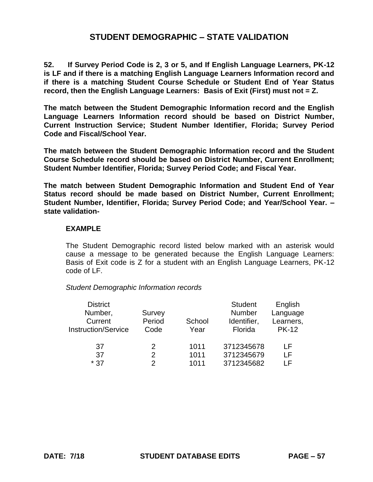**52. If Survey Period Code is 2, 3 or 5, and If English Language Learners, PK-12 is LF and if there is a matching English Language Learners Information record and if there is a matching Student Course Schedule or Student End of Year Status record, then the English Language Learners: Basis of Exit (First) must not = Z.** 

**The match between the Student Demographic Information record and the English Language Learners Information record should be based on District Number, Current Instruction Service; Student Number Identifier, Florida; Survey Period Code and Fiscal/School Year.** 

**The match between the Student Demographic Information record and the Student Course Schedule record should be based on District Number, Current Enrollment; Student Number Identifier, Florida; Survey Period Code; and Fiscal Year.** 

**The match between Student Demographic Information and Student End of Year Status record should be made based on District Number, Current Enrollment; Student Number, Identifier, Florida; Survey Period Code; and Year/School Year. – state validation-**

#### **EXAMPLE**

The Student Demographic record listed below marked with an asterisk would cause a message to be generated because the English Language Learners: Basis of Exit code is Z for a student with an English Language Learners, PK-12 code of LF.

*Student Demographic Information records* 

| <b>Student</b><br>English |
|---------------------------|
| Number<br>Language        |
| Learners,<br>Identifier,  |
| <b>PK-12</b><br>Florida   |
|                           |
| 3712345678<br>l F         |
| 3712345679<br>ΙF          |
| 3712345682<br>ΙF          |
|                           |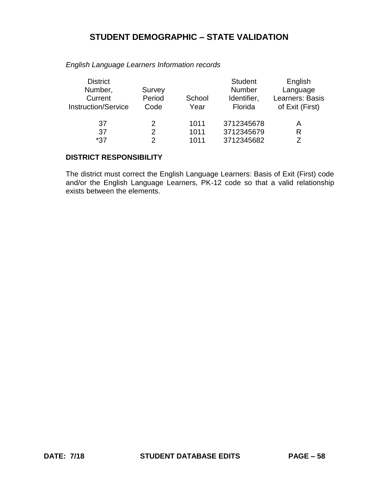| <b>District</b><br>Number,<br>Current<br><b>Instruction/Service</b> | Survey<br>Period<br>Code | School<br>Year | <b>Student</b><br><b>Number</b><br>Identifier,<br>Florida | English<br>Language<br>Learners: Basis<br>of Exit (First) |
|---------------------------------------------------------------------|--------------------------|----------------|-----------------------------------------------------------|-----------------------------------------------------------|
| 37                                                                  | 2                        | 1011           | 3712345678                                                | А                                                         |
| 37                                                                  | 2                        | 1011           | 3712345679                                                | R                                                         |
| *37                                                                 | 2                        | 1011           | 3712345682                                                |                                                           |

*English Language Learners Information records* 

# **DISTRICT RESPONSIBILITY**

The district must correct the English Language Learners: Basis of Exit (First) code and/or the English Language Learners, PK-12 code so that a valid relationship exists between the elements.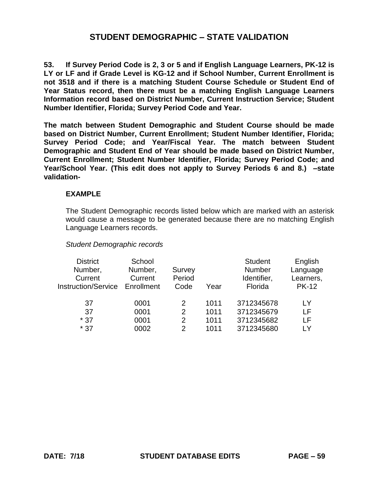**53. If Survey Period Code is 2, 3 or 5 and if English Language Learners, PK-12 is LY or LF and if Grade Level is KG-12 and if School Number, Current Enrollment is not 3518 and if there is a matching Student Course Schedule or Student End of Year Status record, then there must be a matching English Language Learners Information record based on District Number, Current Instruction Service; Student Number Identifier, Florida; Survey Period Code and Year.** 

**The match between Student Demographic and Student Course should be made based on District Number, Current Enrollment; Student Number Identifier, Florida; Survey Period Code; and Year/Fiscal Year. The match between Student Demographic and Student End of Year should be made based on District Number, Current Enrollment; Student Number Identifier, Florida; Survey Period Code; and Year/School Year. (This edit does not apply to Survey Periods 6 and 8.) –state validation-**

#### **EXAMPLE**

The Student Demographic records listed below which are marked with an asterisk would cause a message to be generated because there are no matching English Language Learners records.

#### *Student Demographic records*

| <b>District</b><br>Number,<br>Current<br><b>Instruction/Service</b> | School<br>Number,<br>Current<br>Enrollment | Survey<br>Period<br>Code | Year | <b>Student</b><br>Number<br>Identifier,<br>Florida | English<br>Language<br>Learners,<br><b>PK-12</b> |
|---------------------------------------------------------------------|--------------------------------------------|--------------------------|------|----------------------------------------------------|--------------------------------------------------|
| 37                                                                  | 0001                                       |                          | 1011 | 3712345678                                         | LY                                               |
| 37                                                                  | 0001                                       | 2                        | 1011 | 3712345679                                         | LF                                               |
| $*37$                                                               | 0001                                       | 2                        | 1011 | 3712345682                                         | LF                                               |
| $*37$                                                               | 0002                                       | 2                        | 1011 | 3712345680                                         | I Y                                              |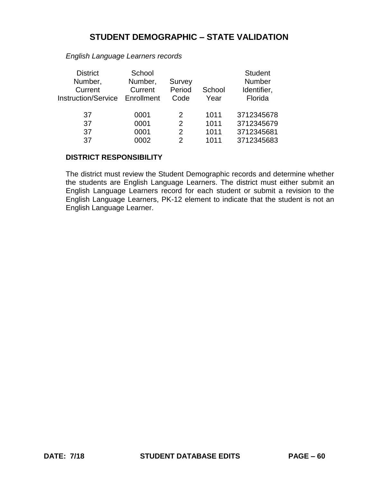| <b>District</b><br>Number,<br>Current<br><b>Instruction/Service</b> | School<br>Number,<br>Current<br>Enrollment | Survey<br>Period<br>Code | School<br>Year | <b>Student</b><br>Number<br>Identifier,<br>Florida |
|---------------------------------------------------------------------|--------------------------------------------|--------------------------|----------------|----------------------------------------------------|
| 37                                                                  | 0001                                       | 2                        | 1011           | 3712345678                                         |
| 37                                                                  | 0001                                       | $\mathcal{P}$            | 1011           | 3712345679                                         |
| 37                                                                  | 0001                                       | 2                        | 1011           | 3712345681                                         |
| 37                                                                  | 0002                                       | 2                        | 1011           | 3712345683                                         |

*English Language Learners records* 

#### **DISTRICT RESPONSIBILITY**

The district must review the Student Demographic records and determine whether the students are English Language Learners. The district must either submit an English Language Learners record for each student or submit a revision to the English Language Learners, PK-12 element to indicate that the student is not an English Language Learner.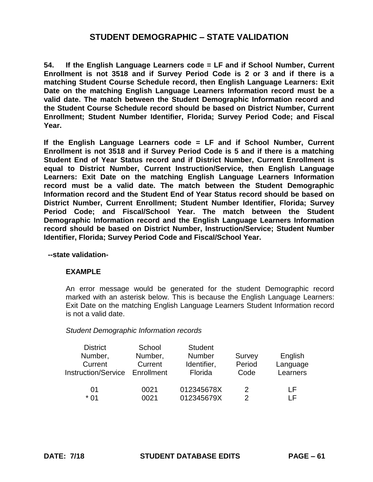**54. If the English Language Learners code = LF and if School Number, Current Enrollment is not 3518 and if Survey Period Code is 2 or 3 and if there is a matching Student Course Schedule record, then English Language Learners: Exit Date on the matching English Language Learners Information record must be a valid date. The match between the Student Demographic Information record and the Student Course Schedule record should be based on District Number, Current Enrollment; Student Number Identifier, Florida; Survey Period Code; and Fiscal Year.** 

**If the English Language Learners code = LF and if School Number, Current Enrollment is not 3518 and if Survey Period Code is 5 and if there is a matching Student End of Year Status record and if District Number, Current Enrollment is equal to District Number, Current Instruction/Service, then English Language Learners: Exit Date on the matching English Language Learners Information record must be a valid date. The match between the Student Demographic Information record and the Student End of Year Status record should be based on District Number, Current Enrollment; Student Number Identifier, Florida; Survey Period Code; and Fiscal/School Year. The match between the Student Demographic Information record and the English Language Learners Information record should be based on District Number, Instruction/Service; Student Number Identifier, Florida; Survey Period Code and Fiscal/School Year.** 

**--state validation-**

### **EXAMPLE**

An error message would be generated for the student Demographic record marked with an asterisk below. This is because the English Language Learners: Exit Date on the matching English Language Learners Student Information record is not a valid date.

#### *Student Demographic Information records*

| <b>District</b>            | School     | <b>Student</b> |        |          |
|----------------------------|------------|----------------|--------|----------|
| Number,                    | Number,    | <b>Number</b>  | Survey | English  |
| Current                    | Current    | Identifier,    | Period | Language |
| <b>Instruction/Service</b> | Enrollment | Florida        | Code   | Learners |
|                            |            |                |        |          |
| 01                         | 0021       | 012345678X     | 2      | ΙF       |
| * በ1                       | 0021       | 012345679X     | 2      | ΙF       |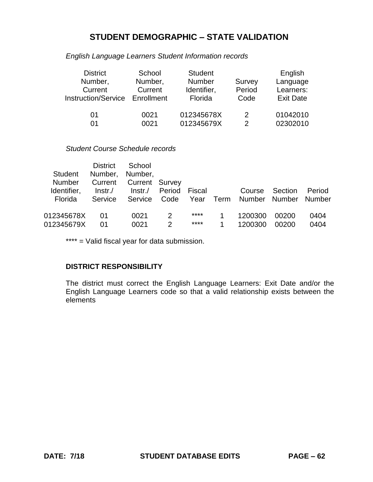*English Language Learners Student Information records* 

| <b>District</b>            | School     | <b>Student</b> |        | English          |
|----------------------------|------------|----------------|--------|------------------|
| Number,                    | Number,    | <b>Number</b>  | Survey | Language         |
| Current                    | Current    | Identifier,    | Period | Learners:        |
| <b>Instruction/Service</b> | Enrollment | Florida        | Code   | <b>Exit Date</b> |
|                            |            |                |        |                  |
| 01                         | 0021       | 012345678X     | 2      | 01042010         |
| 01                         | 0021       | 012345679X     | 2      | 02302010         |

# *Student Course Schedule records*

|                              | <b>District</b>   | School                   |               |        |      |         |         |        |
|------------------------------|-------------------|--------------------------|---------------|--------|------|---------|---------|--------|
| Student                      | Number,           | Number,                  |               |        |      |         |         |        |
| <b>Number</b><br>Identifier, | Current<br>Instr. | Current Survey<br>Instr. | Period        | Fiscal |      | Course  | Section | Period |
| Florida                      | Service           | Service                  | Code          | Year   | Term | Number  | Number  | Number |
|                              |                   |                          |               |        |      |         |         |        |
| 012345678X                   | 01                | 0021                     | 2             | ****   |      | 1200300 | 00200   | 0404   |
| 012345679X                   | በ1                | 0021                     | $\mathcal{P}$ | ****   |      | 1200300 | 00200   | 0404   |

\*\*\*\* = Valid fiscal year for data submission.

# **DISTRICT RESPONSIBILITY**

The district must correct the English Language Learners: Exit Date and/or the English Language Learners code so that a valid relationship exists between the elements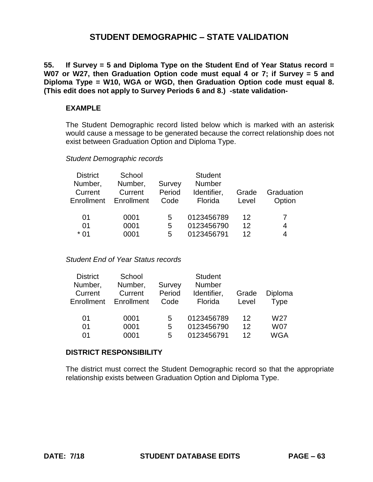**55. If Survey = 5 and Diploma Type on the Student End of Year Status record = W07 or W27, then Graduation Option code must equal 4 or 7; if Survey = 5 and Diploma Type = W10, WGA or WGD, then Graduation Option code must equal 8. (This edit does not apply to Survey Periods 6 and 8.) -state validation-**

### **EXAMPLE**

The Student Demographic record listed below which is marked with an asterisk would cause a message to be generated because the correct relationship does not exist between Graduation Option and Diploma Type.

### *Student Demographic records*

| School<br>Number,<br>Current<br>Enrollment | Survey<br>Period<br>Code | <b>Student</b><br><b>Number</b><br>Identifier,<br>Florida | Grade<br>Level | Graduation<br>Option |
|--------------------------------------------|--------------------------|-----------------------------------------------------------|----------------|----------------------|
| 0001<br>0001                               | 5<br>5                   | 0123456789<br>0123456790                                  | 12<br>12       | 4<br>4               |
|                                            | 0001                     | 5                                                         | 0123456791     | 12                   |

#### *Student End of Year Status records*

| School     |        | <b>Student</b> |            |                 |
|------------|--------|----------------|------------|-----------------|
| Number,    | Survey | <b>Number</b>  |            |                 |
| Current    | Period | Identifier,    | Grade      | Diploma         |
| Enrollment | Code   | Florida        | Level      | Type            |
|            |        |                |            |                 |
| 0001       | 5      |                | 12         | W <sub>27</sub> |
| 0001       | 5      | 0123456790     | 12         | <b>W07</b>      |
| 0001       | 5      | 0123456791     | 12         | <b>WGA</b>      |
|            |        |                | 0123456789 |                 |

#### **DISTRICT RESPONSIBILITY**

The district must correct the Student Demographic record so that the appropriate relationship exists between Graduation Option and Diploma Type.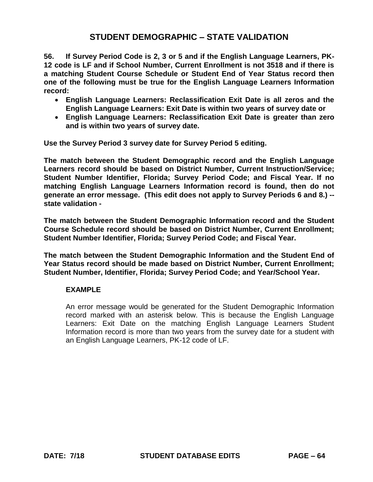**56. If Survey Period Code is 2, 3 or 5 and if the English Language Learners, PK-12 code is LF and if School Number, Current Enrollment is not 3518 and if there is a matching Student Course Schedule or Student End of Year Status record then one of the following must be true for the English Language Learners Information record:** 

- **English Language Learners: Reclassification Exit Date is all zeros and the English Language Learners: Exit Date is within two years of survey date or**
- **English Language Learners: Reclassification Exit Date is greater than zero and is within two years of survey date.**

**Use the Survey Period 3 survey date for Survey Period 5 editing.** 

**The match between the Student Demographic record and the English Language Learners record should be based on District Number, Current Instruction/Service; Student Number Identifier, Florida; Survey Period Code; and Fiscal Year. If no matching English Language Learners Information record is found, then do not generate an error message. (This edit does not apply to Survey Periods 6 and 8.) - state validation -**

**The match between the Student Demographic Information record and the Student Course Schedule record should be based on District Number, Current Enrollment; Student Number Identifier, Florida; Survey Period Code; and Fiscal Year.** 

**The match between the Student Demographic Information and the Student End of Year Status record should be made based on District Number, Current Enrollment; Student Number, Identifier, Florida; Survey Period Code; and Year/School Year.** 

# **EXAMPLE**

An error message would be generated for the Student Demographic Information record marked with an asterisk below. This is because the English Language Learners: Exit Date on the matching English Language Learners Student Information record is more than two years from the survey date for a student with an English Language Learners, PK-12 code of LF.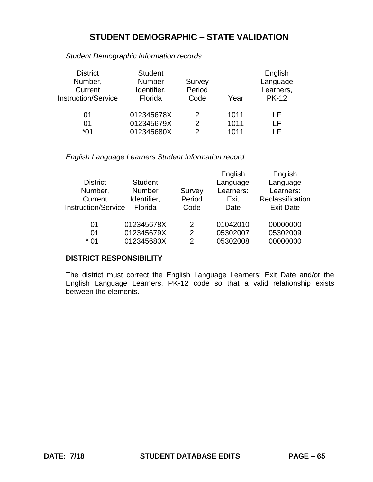*Student Demographic Information records* 

| <b>District</b>            | <b>Student</b> |               |      | English      |
|----------------------------|----------------|---------------|------|--------------|
| Number,                    | <b>Number</b>  | Survey        |      | Language     |
| Current                    | Identifier,    | Period        |      | Learners,    |
| <b>Instruction/Service</b> | Florida        | Code          | Year | <b>PK-12</b> |
|                            |                |               |      |              |
| 01                         | 012345678X     | 2             | 1011 | ΙF           |
| 01                         | 012345679X     | 2             | 1011 | ΙF           |
| 01*                        | 012345680X     | $\mathcal{P}$ | 1011 | I F          |

*English Language Learners Student Information record* 

|                            |                |        | English   | English          |
|----------------------------|----------------|--------|-----------|------------------|
| <b>District</b>            | <b>Student</b> |        | Language  | Language         |
| Number,                    | Number         | Survey | Learners: | Learners:        |
| Current                    | Identifier,    | Period | Exit      | Reclassification |
| <b>Instruction/Service</b> | Florida        | Code   | Date      | <b>Exit Date</b> |
|                            |                |        |           |                  |
| 01                         | 012345678X     | 2      | 01042010  | 00000000         |
| 01                         | 012345679X     | 2      | 05302007  | 05302009         |
| * 01                       | 012345680X     | 2      | 05302008  | 00000000         |
|                            |                |        |           |                  |

# **DISTRICT RESPONSIBILITY**

The district must correct the English Language Learners: Exit Date and/or the English Language Learners, PK-12 code so that a valid relationship exists between the elements.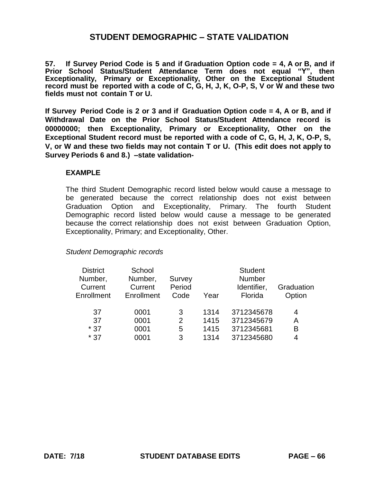**57. If Survey Period Code is 5 and if Graduation Option code = 4, A or B, and if Prior School Status/Student Attendance Term does not equal "Y", then Exceptionality, Primary or Exceptionality, Other on the Exceptional Student record must be reported with a code of C, G, H, J, K, O-P, S, V or W and these two fields must not contain T or U.** 

**If Survey Period Code is 2 or 3 and if Graduation Option code = 4, A or B, and if Withdrawal Date on the Prior School Status/Student Attendance record is 00000000; then Exceptionality, Primary or Exceptionality, Other on the Exceptional Student record must be reported with a code of C, G, H, J, K, O-P, S, V, or W and these two fields may not contain T or U. (This edit does not apply to Survey Periods 6 and 8.) –state validation-**

#### **EXAMPLE**

The third Student Demographic record listed below would cause a message to be generated because the correct relationship does not exist between Graduation Option and Exceptionality, Primary. The fourth Student Demographic record listed below would cause a message to be generated because the correct relationship does not exist between Graduation Option, Exceptionality, Primary; and Exceptionality, Other.

#### *Student Demographic records*

| <b>District</b><br>Number,<br>Current<br>Enrollment | School<br>Number,<br>Current<br>Enrollment | Survey<br>Period<br>Code | Year | <b>Student</b><br><b>Number</b><br>Identifier,<br>Florida | Graduation<br>Option |
|-----------------------------------------------------|--------------------------------------------|--------------------------|------|-----------------------------------------------------------|----------------------|
| 37                                                  | 0001                                       | 3                        | 1314 | 3712345678                                                | 4                    |
| 37                                                  | 0001                                       | $\overline{2}$           | 1415 | 3712345679                                                | A                    |
| $*37$                                               | 0001                                       | 5                        | 1415 | 3712345681                                                | B                    |
| $*37$                                               | 0001                                       | 3                        | 1314 | 3712345680                                                | 4                    |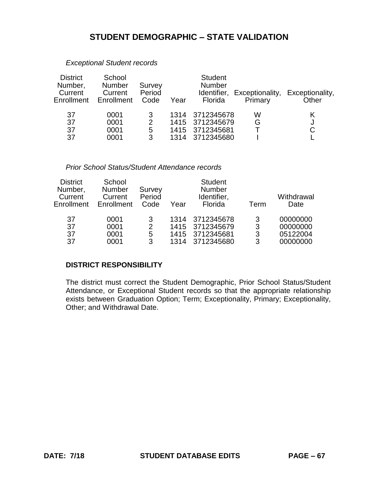| <b>District</b><br>Number,<br>Current<br>Enrollment | School<br><b>Number</b><br>Current<br>Enrollment | Survey<br>Period<br>Code      | Year | <b>Student</b><br><b>Number</b><br>Florida                          | Primary | Identifier, Exceptionality, Exceptionality,<br>Other |
|-----------------------------------------------------|--------------------------------------------------|-------------------------------|------|---------------------------------------------------------------------|---------|------------------------------------------------------|
| 37<br>37<br>37<br>37                                | 0001<br>0001<br>0001<br>0001                     | 3<br>$\overline{2}$<br>5<br>3 | 1314 | 1314 3712345678<br>1415 3712345679<br>1415 3712345681<br>3712345680 | W<br>G  | J<br>С                                               |

### *Exceptional Student records*

#### *Prior School Status/Student Attendance records*

| <b>District</b><br>Number,<br>Current<br>Enrollment | School<br><b>Number</b><br>Current<br>Enrollment | Survey<br>Period<br>Code | Year         | <b>Student</b><br><b>Number</b><br>Identifier,<br>Florida | Term        | Withdrawal<br>Date               |
|-----------------------------------------------------|--------------------------------------------------|--------------------------|--------------|-----------------------------------------------------------|-------------|----------------------------------|
| 37<br>37<br>37                                      | 0001<br>0001<br>0001                             | 3<br>2<br>5              | 1314<br>1415 | 3712345678<br>1415 3712345679<br>3712345681               | 3<br>3<br>3 | 00000000<br>00000000<br>05122004 |
| 37                                                  | 0001                                             | 3                        | 1314         | 3712345680                                                | 3           | 00000000                         |

#### **DISTRICT RESPONSIBILITY**

The district must correct the Student Demographic, Prior School Status/Student Attendance, or Exceptional Student records so that the appropriate relationship exists between Graduation Option; Term; Exceptionality, Primary; Exceptionality, Other; and Withdrawal Date.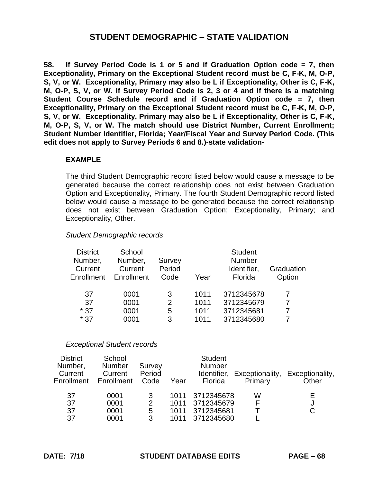**58. If Survey Period Code is 1 or 5 and if Graduation Option code = 7, then Exceptionality, Primary on the Exceptional Student record must be C, F-K, M, O-P, S, V, or W. Exceptionality, Primary may also be L if Exceptionality, Other is C, F-K, M, O-P, S, V, or W. If Survey Period Code is 2, 3 or 4 and if there is a matching Student Course Schedule record and if Graduation Option code = 7, then Exceptionality, Primary on the Exceptional Student record must be C, F-K, M, O-P, S, V, or W. Exceptionality, Primary may also be L if Exceptionality, Other is C, F-K, M, O-P, S, V, or W. The match should use District Number, Current Enrollment; Student Number Identifier, Florida; Year/Fiscal Year and Survey Period Code. (This edit does not apply to Survey Periods 6 and 8.)-state validation-**

#### **EXAMPLE**

The third Student Demographic record listed below would cause a message to be generated because the correct relationship does not exist between Graduation Option and Exceptionality, Primary. The fourth Student Demographic record listed below would cause a message to be generated because the correct relationship does not exist between Graduation Option; Exceptionality, Primary; and Exceptionality, Other.

#### *Student Demographic records*

| School<br>Number,<br>Current<br>Enrollment | Survey<br>Period<br>Code | Year | <b>Student</b><br><b>Number</b><br>Identifier,<br>Florida | Graduation<br>Option |
|--------------------------------------------|--------------------------|------|-----------------------------------------------------------|----------------------|
| 0001                                       | 3                        | 1011 | 3712345678                                                |                      |
| 0001                                       | 2                        | 1011 | 3712345679                                                |                      |
| 0001                                       | 5                        | 1011 | 3712345681                                                |                      |
| 0001                                       | 3                        | 1011 | 3712345680                                                |                      |
|                                            |                          |      |                                                           |                      |

#### *Exceptional Student records*

| <b>District</b><br>Number,<br>Current<br>Enrollment | School<br><b>Number</b><br>Current<br>Enrollment | Survey<br>Period<br>Code | Year                         | <b>Student</b><br><b>Number</b><br>Florida           | Primary | Identifier, Exceptionality, Exceptionality,<br>Other |
|-----------------------------------------------------|--------------------------------------------------|--------------------------|------------------------------|------------------------------------------------------|---------|------------------------------------------------------|
| 37<br>37<br>37<br>37                                | 0001<br>0001<br>0001<br>0001                     | 3<br>2<br>5<br>3         | 1011<br>1011<br>1011<br>1011 | 3712345678<br>3712345679<br>3712345681<br>3712345680 | W<br>F  | E<br>J<br>С                                          |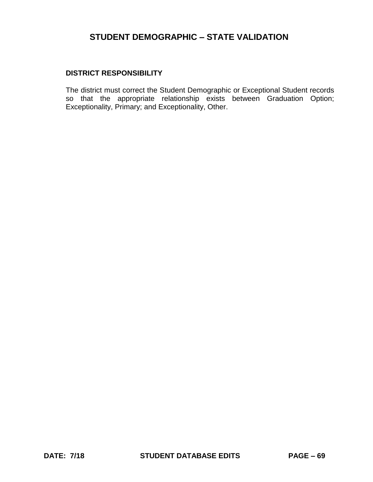### **DISTRICT RESPONSIBILITY**

The district must correct the Student Demographic or Exceptional Student records so that the appropriate relationship exists between Graduation Option; Exceptionality, Primary; and Exceptionality, Other.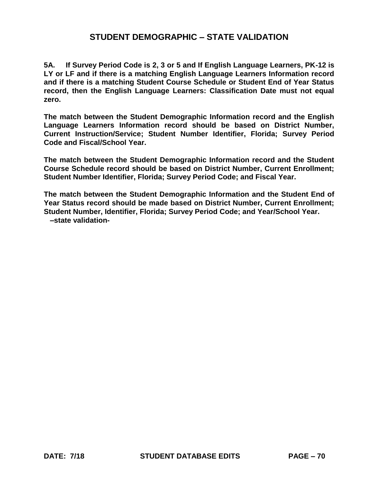**5A. If Survey Period Code is 2, 3 or 5 and If English Language Learners, PK-12 is LY or LF and if there is a matching English Language Learners Information record and if there is a matching Student Course Schedule or Student End of Year Status record, then the English Language Learners: Classification Date must not equal zero.** 

**The match between the Student Demographic Information record and the English Language Learners Information record should be based on District Number, Current Instruction/Service; Student Number Identifier, Florida; Survey Period Code and Fiscal/School Year.** 

**The match between the Student Demographic Information record and the Student Course Schedule record should be based on District Number, Current Enrollment; Student Number Identifier, Florida; Survey Period Code; and Fiscal Year.** 

**The match between the Student Demographic Information and the Student End of Year Status record should be made based on District Number, Current Enrollment; Student Number, Identifier, Florida; Survey Period Code; and Year/School Year. –state validation-**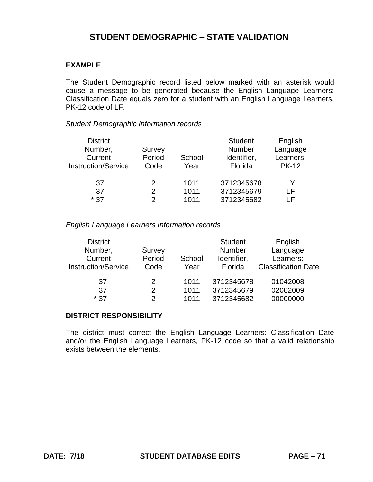# **EXAMPLE**

The Student Demographic record listed below marked with an asterisk would cause a message to be generated because the English Language Learners: Classification Date equals zero for a student with an English Language Learners, PK-12 code of LF.

#### *Student Demographic Information records*

|        |        | <b>Student</b> | English                  |
|--------|--------|----------------|--------------------------|
| Survey |        | <b>Number</b>  | Language                 |
| Period | School | Identifier,    | Learners,                |
| Code   | Year   | Florida        | <b>PK-12</b>             |
|        |        |                | I Y                      |
| 2      |        |                | ΙF                       |
| 2      | 1011   | 3712345682     | ΙF                       |
|        | 2      | 1011<br>1011   | 3712345678<br>3712345679 |

*English Language Learners Information records* 

| <b>District</b><br>Number,<br>Current<br><b>Instruction/Service</b> | Survey<br>Period<br>Code | School<br>Year | <b>Student</b><br><b>Number</b><br>Identifier,<br>Florida | English<br>Language<br>Learners:<br><b>Classification Date</b> |
|---------------------------------------------------------------------|--------------------------|----------------|-----------------------------------------------------------|----------------------------------------------------------------|
| 37                                                                  | 2                        | 1011           | 3712345678                                                | 01042008                                                       |
| 37                                                                  | 2                        | 1011           | 3712345679                                                | 02082009                                                       |
| $*37$                                                               | 2                        | 1011           | 3712345682                                                | 00000000                                                       |

#### **DISTRICT RESPONSIBILITY**

The district must correct the English Language Learners: Classification Date and/or the English Language Learners, PK-12 code so that a valid relationship exists between the elements.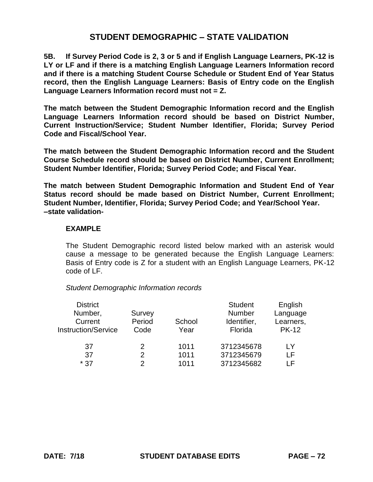**5B. If Survey Period Code is 2, 3 or 5 and if English Language Learners, PK-12 is LY or LF and if there is a matching English Language Learners Information record and if there is a matching Student Course Schedule or Student End of Year Status record, then the English Language Learners: Basis of Entry code on the English Language Learners Information record must not = Z.** 

**The match between the Student Demographic Information record and the English Language Learners Information record should be based on District Number, Current Instruction/Service; Student Number Identifier, Florida; Survey Period Code and Fiscal/School Year.** 

**The match between the Student Demographic Information record and the Student Course Schedule record should be based on District Number, Current Enrollment; Student Number Identifier, Florida; Survey Period Code; and Fiscal Year.** 

**The match between Student Demographic Information and Student End of Year Status record should be made based on District Number, Current Enrollment; Student Number, Identifier, Florida; Survey Period Code; and Year/School Year. –state validation-**

#### **EXAMPLE**

The Student Demographic record listed below marked with an asterisk would cause a message to be generated because the English Language Learners: Basis of Entry code is Z for a student with an English Language Learners, PK-12 code of LF.

*Student Demographic Information records* 

|        |        | <b>Student</b> | English      |
|--------|--------|----------------|--------------|
| Survey |        | Number         | Language     |
| Period | School | Identifier,    | Learners,    |
| Code   | Year   | Florida        | <b>PK-12</b> |
|        |        |                |              |
|        |        |                | LY           |
| 2      | 1011   | 3712345679     | ΙF           |
| 2      | 1011   | 3712345682     | ΙF           |
|        |        | 1011           | 3712345678   |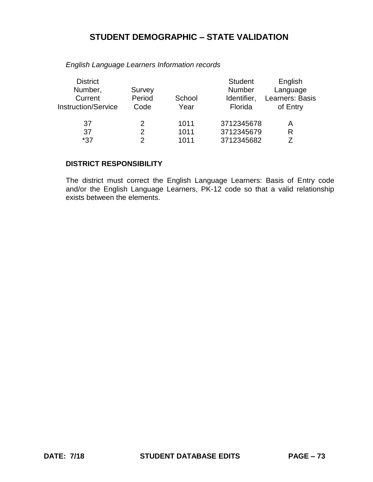| <b>District</b><br>Number,<br>Current<br><b>Instruction/Service</b> | Survey<br>Period<br>Code | School<br>Year | <b>Student</b><br>Number<br>Identifier,<br>Florida | English<br>Language<br>Learners: Basis<br>of Entry |
|---------------------------------------------------------------------|--------------------------|----------------|----------------------------------------------------|----------------------------------------------------|
| 37                                                                  | 2                        | 1011           | 3712345678                                         | А                                                  |
| 37                                                                  | 2                        | 1011           | 3712345679                                         | R                                                  |
| *37                                                                 | 2                        | 1011           | 3712345682                                         |                                                    |
|                                                                     |                          |                |                                                    |                                                    |

*English Language Learners Information records* 

# **DISTRICT RESPONSIBILITY**

The district must correct the English Language Learners: Basis of Entry code and/or the English Language Learners, PK-12 code so that a valid relationship exists between the elements.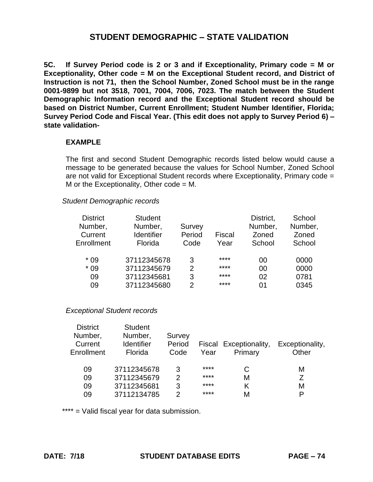**5C. If Survey Period code is 2 or 3 and if Exceptionality, Primary code = M or Exceptionality, Other code = M on the Exceptional Student record, and District of Instruction is not 71, then the School Number, Zoned School must be in the range 0001-9899 but not 3518, 7001, 7004, 7006, 7023. The match between the Student Demographic Information record and the Exceptional Student record should be based on District Number, Current Enrollment; Student Number Identifier, Florida; Survey Period Code and Fiscal Year. (This edit does not apply to Survey Period 6) – state validation-**

## **EXAMPLE**

The first and second Student Demographic records listed below would cause a message to be generated because the values for School Number, Zoned School are not valid for Exceptional Student records where Exceptionality, Primary code = M or the Exceptionality, Other code  $= M$ .

### *Student Demographic records*

| <b>District</b><br>Number,<br>Current<br>Enrollment | <b>Student</b><br>Number,<br><b>Identifier</b><br>Florida | Survey<br>Period<br>Code | Fiscal<br>Year | District,<br>Number,<br>Zoned<br>School | School<br>Number,<br>Zoned<br>School |
|-----------------------------------------------------|-----------------------------------------------------------|--------------------------|----------------|-----------------------------------------|--------------------------------------|
| $*09$                                               | 37112345678                                               | 3                        | ****           | 00                                      | 0000                                 |
| $*09$                                               | 37112345679                                               | 2                        | ****           | 00                                      | 0000                                 |
| 09                                                  | 37112345681                                               | 3                        | ****           | 02                                      | 0781                                 |
| 09                                                  | 37112345680                                               | 2                        | ****           | በ1                                      | 0345                                 |
|                                                     |                                                           |                          |                |                                         |                                      |

# *Exceptional Student records*

| <b>Student</b>    |        |      |         |                        |
|-------------------|--------|------|---------|------------------------|
| Number,           | Survey |      |         |                        |
| <b>Identifier</b> | Period |      |         | Exceptionality,        |
| Florida           | Code   | Year | Primary | Other                  |
|                   |        |      |         |                        |
| 37112345678       | 3      | **** | C       | М                      |
| 37112345679       | 2      | **** | Μ       | 7                      |
| 37112345681       | 3      | **** | Κ       | Μ                      |
| 37112134785       | 2      | **** | М       | P                      |
|                   |        |      |         | Fiscal Exceptionality, |

\*\*\*\* = Valid fiscal year for data submission.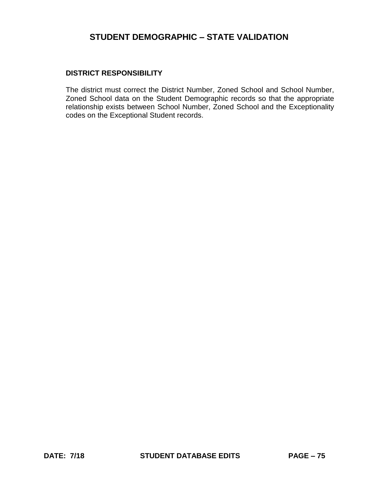## **DISTRICT RESPONSIBILITY**

The district must correct the District Number, Zoned School and School Number, Zoned School data on the Student Demographic records so that the appropriate relationship exists between School Number, Zoned School and the Exceptionality codes on the Exceptional Student records.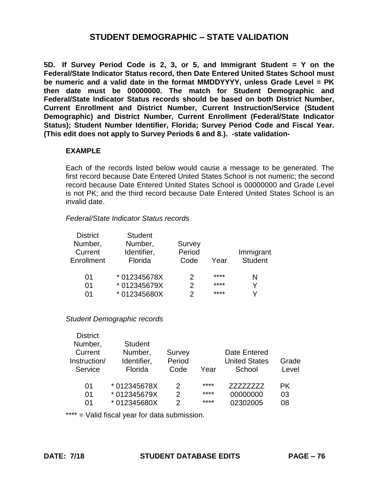**5D. If Survey Period Code is 2, 3, or 5, and Immigrant Student = Y on the Federal/State Indicator Status record, then Date Entered United States School must be numeric and a valid date in the format MMDDYYYY, unless Grade Level = PK then date must be 00000000. The match for Student Demographic and Federal/State Indicator Status records should be based on both District Number, Current Enrollment and District Number, Current Instruction/Service (Student Demographic) and District Number, Current Enrollment (Federal/State Indicator Status); Student Number Identifier, Florida; Survey Period Code and Fiscal Year. (This edit does not apply to Survey Periods 6 and 8.). -state validation-**

## **EXAMPLE**

Each of the records listed below would cause a message to be generated. The first record because Date Entered United States School is not numeric; the second record because Date Entered United States School is 00000000 and Grade Level is not PK; and the third record because Date Entered United States School is an invalid date.

#### *Federal/State Indicator Status records*

| <b>District</b> | <b>Student</b> |        |      |                |
|-----------------|----------------|--------|------|----------------|
| Number,         | Number,        | Survey |      |                |
| Current         | Identifier,    | Period |      | Immigrant      |
| Enrollment      | Florida        | Code   | Year | <b>Student</b> |
| 01              | * 012345678X   | 2      | **** | N              |
| 01              | * 012345679X   | 2      | **** | Y              |
| በ1              | *012345680X    | っ      | **** | v              |

#### *Student Demographic records*

| <b>District</b> |                |        |      |                      |       |
|-----------------|----------------|--------|------|----------------------|-------|
| Number,         | <b>Student</b> |        |      |                      |       |
| Current         | Number,        | Survey |      | Date Entered         |       |
| Instruction/    | Identifier,    | Period |      | <b>United States</b> | Grade |
| Service         | Florida        | Code   | Year | School               | Level |
|                 |                |        |      |                      |       |
| 01              | * 012345678X   | 2      | **** | 77777777             | PK.   |
| 01              | *012345679X    | 2      | **** | 00000000             | 03    |
| 01              | *012345680X    | っ      | **** | 02302005             | 08    |

\*\*\*\* = Valid fiscal year for data submission.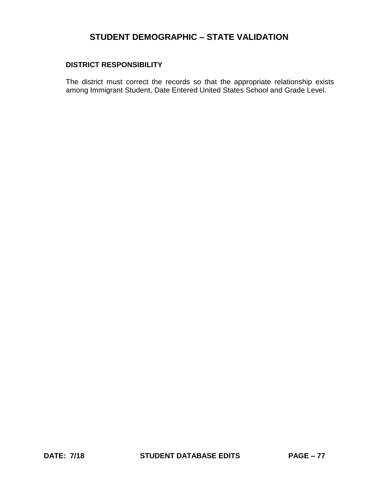# **DISTRICT RESPONSIBILITY**

The district must correct the records so that the appropriate relationship exists among Immigrant Student, Date Entered United States School and Grade Level.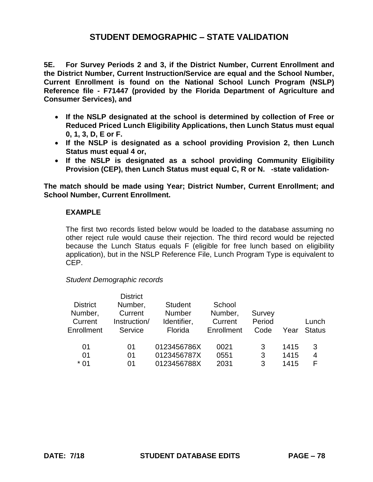**5E. For Survey Periods 2 and 3, if the District Number, Current Enrollment and the District Number, Current Instruction/Service are equal and the School Number, Current Enrollment is found on the National School Lunch Program (NSLP) Reference file - F71447 (provided by the Florida Department of Agriculture and Consumer Services), and** 

- **If the NSLP designated at the school is determined by collection of Free or Reduced Priced Lunch Eligibility Applications, then Lunch Status must equal 0, 1, 3, D, E or F.**
- **If the NSLP is designated as a school providing Provision 2, then Lunch Status must equal 4 or,**
- **If the NSLP is designated as a school providing Community Eligibility Provision (CEP), then Lunch Status must equal C, R or N. -state validation-**

**The match should be made using Year; District Number, Current Enrollment; and School Number, Current Enrollment.** 

## **EXAMPLE**

The first two records listed below would be loaded to the database assuming no other reject rule would cause their rejection. The third record would be rejected because the Lunch Status equals F (eligible for free lunch based on eligibility application), but in the NSLP Reference File, Lunch Program Type is equivalent to CEP.

### *Student Demographic records*

|                 | <b>District</b> |                |            |        |      |               |
|-----------------|-----------------|----------------|------------|--------|------|---------------|
| <b>District</b> | Number,         | <b>Student</b> | School     |        |      |               |
| Number,         | Current         | <b>Number</b>  | Number,    | Survey |      |               |
| Current         | Instruction/    | Identifier,    | Current    | Period |      | Lunch         |
| Enrollment      | Service         | Florida        | Enrollment | Code   | Year | <b>Status</b> |
|                 |                 |                |            |        |      |               |
| 01              | 01              | 0123456786X    | 0021       | 3      | 1415 | 3             |
| 01              | 01              | 0123456787X    | 0551       | 3      | 1415 | 4             |
| $*01$           | 01              | 0123456788X    | 2031       | 3      | 1415 |               |
|                 |                 |                |            |        |      |               |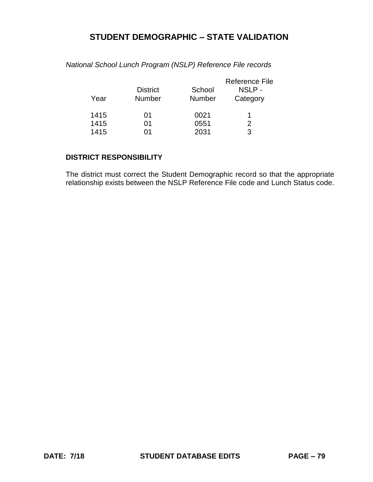| Year | <b>District</b><br><b>Number</b> | School<br><b>Number</b> | Reference File<br>NSLP-<br>Category |
|------|----------------------------------|-------------------------|-------------------------------------|
| 1415 | 01                               | 0021                    |                                     |
| 1415 | 01                               | 0551                    | 2                                   |
| 1415 | ሰ1                               | 2031                    | 3                                   |

*National School Lunch Program (NSLP) Reference File records* 

# **DISTRICT RESPONSIBILITY**

The district must correct the Student Demographic record so that the appropriate relationship exists between the NSLP Reference File code and Lunch Status code.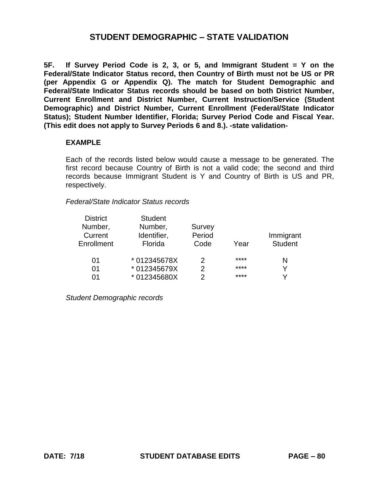**5F. If Survey Period Code is 2, 3, or 5, and Immigrant Student = Y on the Federal/State Indicator Status record, then Country of Birth must not be US or PR (per Appendix G or Appendix Q). The match for Student Demographic and Federal/State Indicator Status records should be based on both District Number, Current Enrollment and District Number, Current Instruction/Service (Student Demographic) and District Number, Current Enrollment (Federal/State Indicator Status); Student Number Identifier, Florida; Survey Period Code and Fiscal Year. (This edit does not apply to Survey Periods 6 and 8.). -state validation-**

### **EXAMPLE**

Each of the records listed below would cause a message to be generated. The first record because Country of Birth is not a valid code; the second and third records because Immigrant Student is Y and Country of Birth is US and PR, respectively.

### *Federal/State Indicator Status records*

| <b>District</b> | <b>Student</b> |        |      |                |
|-----------------|----------------|--------|------|----------------|
| Number,         | Number,        | Survey |      |                |
| Current         | Identifier,    | Period |      | Immigrant      |
| Enrollment      | Florida        | Code   | Year | <b>Student</b> |
| 01              | * 012345678X   | 2      | **** | N              |
| 01              | * 012345679X   | 2      | **** |                |
| በ1              | *012345680X    | 2      | **** |                |

*Student Demographic records*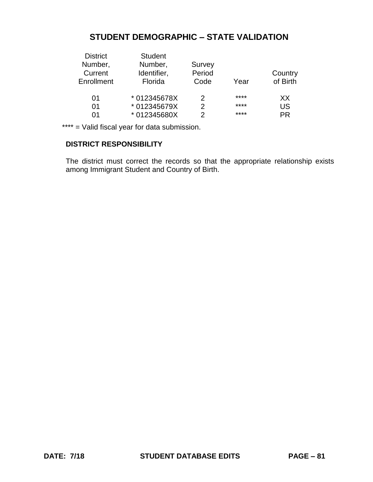| <b>District</b> | <b>Student</b> |        |      |           |
|-----------------|----------------|--------|------|-----------|
| Number,         | Number,        | Survey |      |           |
| Current         | Identifier,    | Period |      | Country   |
| Enrollment      | Florida        | Code   | Year | of Birth  |
| 01              | * 012345678X   | 2      | **** | XX.       |
| 01              | * 012345679X   | 2      | **** | <b>US</b> |
| በ1              | *012345680X    | 2      | **** | <b>PR</b> |
|                 |                |        |      |           |

\*\*\*\* = Valid fiscal year for data submission.

# **DISTRICT RESPONSIBILITY**

The district must correct the records so that the appropriate relationship exists among Immigrant Student and Country of Birth.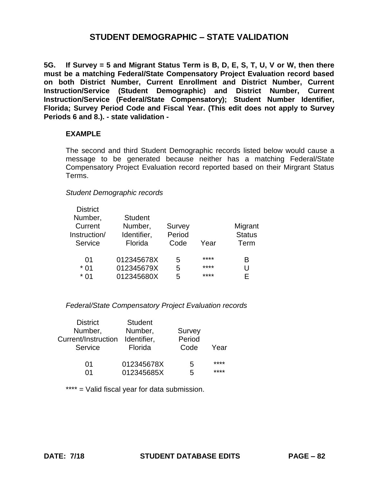**5G. If Survey = 5 and Migrant Status Term is B, D, E, S, T, U, V or W, then there must be a matching Federal/State Compensatory Project Evaluation record based on both District Number, Current Enrollment and District Number, Current Instruction/Service (Student Demographic) and District Number, Current Instruction/Service (Federal/State Compensatory); Student Number Identifier, Florida; Survey Period Code and Fiscal Year. (This edit does not apply to Survey Periods 6 and 8.). - state validation -**

### **EXAMPLE**

The second and third Student Demographic records listed below would cause a message to be generated because neither has a matching Federal/State Compensatory Project Evaluation record reported based on their Mirgrant Status Terms.

### *Student Demographic records*

| <b>District</b> |                |        |      |               |
|-----------------|----------------|--------|------|---------------|
| Number,         | <b>Student</b> |        |      |               |
| Current         | Number,        | Survey |      | Migrant       |
| Instruction/    | Identifier,    | Period |      | <b>Status</b> |
| Service         | Florida        | Code   | Year | Term          |
|                 |                |        |      |               |
| 01              | 012345678X     | 5      | **** | в             |
| $*01$           | 012345679X     | 5      | **** | U             |
| $*01$           | 012345680X     | 5      | **** | F.            |
|                 |                |        |      |               |

### *Federal/State Compensatory Project Evaluation records*

| <b>District</b><br>Number,<br>Current/Instruction<br>Service | <b>Student</b><br>Number,<br>Identifier,<br>Florida | Survey<br>Period<br>Code | Year |
|--------------------------------------------------------------|-----------------------------------------------------|--------------------------|------|
| 01                                                           | 012345678X                                          | 5                        | **** |
| በ1                                                           | 012345685X                                          | 5                        | **** |

\*\*\*\* = Valid fiscal year for data submission.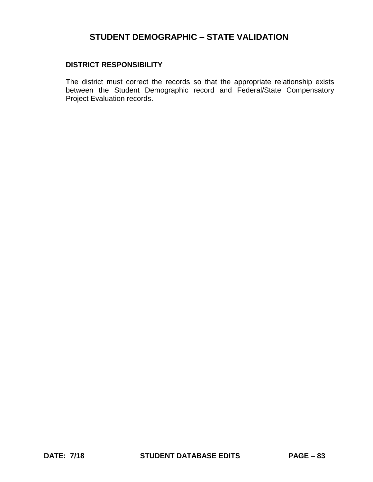## **DISTRICT RESPONSIBILITY**

The district must correct the records so that the appropriate relationship exists between the Student Demographic record and Federal/State Compensatory Project Evaluation records.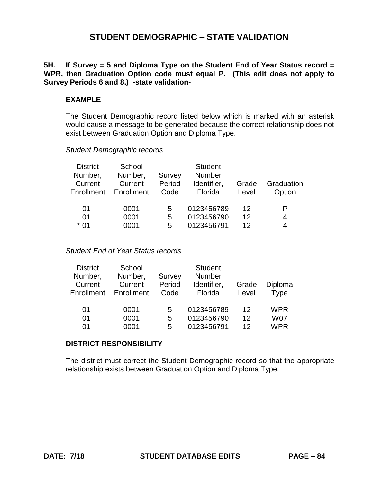**5H. If Survey = 5 and Diploma Type on the Student End of Year Status record = WPR, then Graduation Option code must equal P. (This edit does not apply to Survey Periods 6 and 8.) -state validation-**

## **EXAMPLE**

The Student Demographic record listed below which is marked with an asterisk would cause a message to be generated because the correct relationship does not exist between Graduation Option and Diploma Type.

*Student Demographic records* 

| <b>District</b><br>Number,<br>Current<br>Enrollment | School<br>Number,<br>Current<br>Enrollment | Survey<br>Period<br>Code | <b>Student</b><br>Number<br>Identifier,<br>Florida | Grade<br>Level | Graduation<br>Option |
|-----------------------------------------------------|--------------------------------------------|--------------------------|----------------------------------------------------|----------------|----------------------|
| 01                                                  | 0001                                       | 5                        | 0123456789                                         | 12             | Р                    |
| 01                                                  | 0001                                       | 5                        | 0123456790                                         | 12             | 4                    |
| * 01                                                | 0001                                       | 5                        | 0123456791                                         | 12             | 4                    |

*Student End of Year Status records* 

| <b>District</b> | School     |        | <b>Student</b> |       |            |
|-----------------|------------|--------|----------------|-------|------------|
| Number,         | Number,    | Survey | <b>Number</b>  |       |            |
| Current         | Current    | Period | Identifier,    | Grade | Diploma    |
| Enrollment      | Enrollment | Code   | Florida        | Level | Type       |
| 01              | 0001       | 5      | 0123456789     | 12    | <b>WPR</b> |
| 01              | 0001       | 5      | 0123456790     | 12    | <b>W07</b> |
| 01              | 0001       | 5      | 0123456791     | 12    | <b>WPR</b> |

#### **DISTRICT RESPONSIBILITY**

The district must correct the Student Demographic record so that the appropriate relationship exists between Graduation Option and Diploma Type.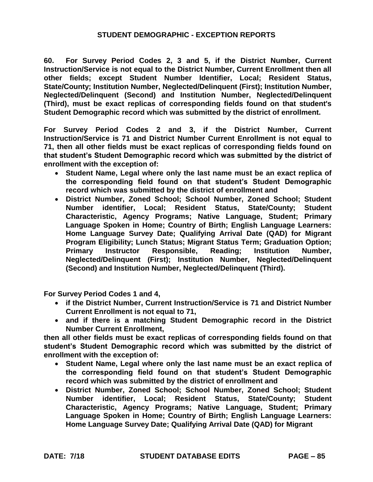**60. For Survey Period Codes 2, 3 and 5, if the District Number, Current Instruction/Service is not equal to the District Number, Current Enrollment then all other fields; except Student Number Identifier, Local; Resident Status, State/County; Institution Number, Neglected/Delinquent (First); Institution Number, Neglected/Delinquent (Second) and Institution Number, Neglected/Delinquent (Third), must be exact replicas of corresponding fields found on that student's Student Demographic record which was submitted by the district of enrollment.** 

 **that student's Student Demographic record which was submitted by the district of For Survey Period Codes 2 and 3, if the District Number, Current Instruction/Service is 71 and District Number Current Enrollment is not equal to 71, then all other fields must be exact replicas of corresponding fields found on enrollment with the exception of:** 

- **the corresponding field found on that student's Student Demographic Student Name, Legal where only the last name must be an exact replica of record which was submitted by the district of enrollment and**
- **District Number, Zoned School; School Number, Zoned School; Student Number identifier, Local; Resident Status, State/County; Student Characteristic, Agency Programs; Native Language, Student; Primary Language Spoken in Home; Country of Birth; English Language Learners: Home Language Survey Date; Qualifying Arrival Date (QAD) for Migrant Program Eligibility; Lunch Status; Migrant Status Term; Graduation Option; Primary Instructor Responsible, Reading; Institution Number, Neglected/Delinquent (First); Institution Number, Neglected/Delinquent (Second) and Institution Number, Neglected/Delinquent (Third).**

**For Survey Period Codes 1 and 4,** 

- **if the District Number, Current Instruction/Service is 71 and District Number Current Enrollment is not equal to 71,**
- **and if there is a matching Student Demographic record in the District Number Current Enrollment,**

 **student's Student Demographic record which was submitted by the district of then all other fields must be exact replicas of corresponding fields found on that enrollment with the exception of:** 

- **the corresponding field found on that student's Student Demographic Student Name, Legal where only the last name must be an exact replica of record which was submitted by the district of enrollment and**
- **District Number, Zoned School; School Number, Zoned School; Student Number identifier, Local; Resident Status, State/County; Student Characteristic, Agency Programs; Native Language, Student; Primary Language Spoken in Home; Country of Birth; English Language Learners: Home Language Survey Date; Qualifying Arrival Date (QAD) for Migrant**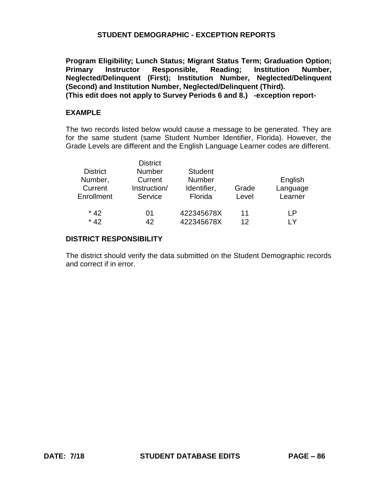**Program Eligibility; Lunch Status; Migrant Status Term; Graduation Option; Primary Instructor Responsible, Reading; Institution Number, Neglected/Delinquent (First); Institution Number, Neglected/Delinquent (Second) and Institution Number, Neglected/Delinquent (Third). (This edit does not apply to Survey Periods 6 and 8.) -exception report-**

#### **EXAMPLE**

The two records listed below would cause a message to be generated. They are for the same student (same Student Number Identifier, Florida). However, the Grade Levels are different and the English Language Learner codes are different.

|                 | <b>District</b> |                |       |          |
|-----------------|-----------------|----------------|-------|----------|
| <b>District</b> | <b>Number</b>   | <b>Student</b> |       |          |
| Number,         | Current         | <b>Number</b>  |       | English  |
| Current         | Instruction/    | Identifier,    | Grade | Language |
| Enrollment      | Service         | Florida        | Level | Learner  |
| $*42$           | 01              | 422345678X     | 11    | ΙP       |
| $*42$           | 42              | 422345678X     | 12    | l V      |

### **DISTRICT RESPONSIBILITY**

The district should verify the data submitted on the Student Demographic records and correct if in error.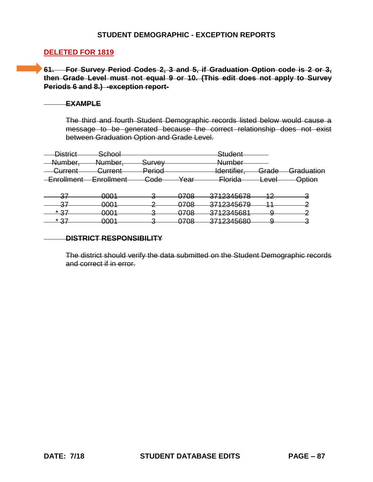## **DELETED FOR 1819**

STUDENT DEMOGRAPHIC - EXCEPTION REPORTS<br>DELETED FOR 1819<br>61. For Survey Period Codes 2, 3 and 5, if Graduation Option code is 2 or 3,<br>then Grade Level must not equal 9 or 10. (This edit does not apply to Survey) **61. For Survey Period Codes 2, 3 and 5, if Graduation Option code is 2 or 3, Periods 6 and 8.) -exception report-**

#### **EXAMPLE**

The third and fourth Student Demographic records listed below would cause a message to be generated because the correct relationship does not exist between Graduation Option and Grade Level.

| <b>District</b>    | <del>School</del> |                 |                               | Student                             |                |               |
|--------------------|-------------------|-----------------|-------------------------------|-------------------------------------|----------------|---------------|
| <u>Number</u>      | Number,           | Survey          |                               | <u>Numhar</u><br>r <del>vumoc</del> |                |               |
| <del>Current</del> | Current           | <u>Period</u>   |                               | ldentifier.                         | Grade          | Graduation    |
| Enrollment         | <b>Enrollment</b> | <del>Code</del> | Year                          | <del>Florida</del>                  | اعتنف<br>⊏ਰ∀ਰਾ | <u>Option</u> |
|                    |                   |                 |                               |                                     |                |               |
| 27<br>◡            | <del>0001</del>   |                 | 0708                          | 3712345678                          | ി              |               |
| 27<br>ᢦ᠇           | 0001              |                 | 0708                          | 3712345679                          |                |               |
| * 27               | ററ1               |                 | 070R                          | 3712345681                          | u              |               |
| Ⅵ<br>* 27          | דטש<br>∩∩∩1       |                 | <del>uru</del><br><b>0708</b> | <del>un zuwuu</del><br>3712345680   |                |               |
| Ⅵ                  | <del>uuu i</del>  |                 | ᠳ᠊ᡂ                           | ᠇ <del>᠊ᢧᠣᠲ</del> ᡂᠣ<br>ਹਾ          | J              |               |

#### **DISTRICT RESPONSIBILITY**

The district should verify the data submitted on the Student Demographic records and correct if in error.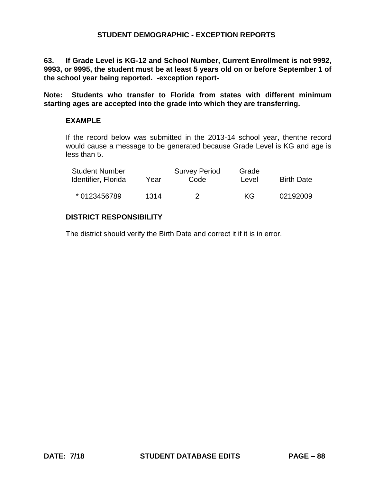**63. If Grade Level is KG-12 and School Number, Current Enrollment is not 9992, 9993, or 9995, the student must be at least 5 years old on or before September 1 of the school year being reported. -exception report-**

**Note: Students who transfer to Florida from states with different minimum starting ages are accepted into the grade into which they are transferring.** 

## **EXAMPLE**

If the record below was submitted in the 2013-14 school year, thenthe record would cause a message to be generated because Grade Level is KG and age is less than 5.

| <b>Student Number</b><br>Identifier, Florida | Year | <b>Survey Period</b><br>Code | Grade<br>Level | <b>Birth Date</b> |
|----------------------------------------------|------|------------------------------|----------------|-------------------|
| * 0123456789                                 | 1314 |                              | KG.            | 02192009          |

# **DISTRICT RESPONSIBILITY**

The district should verify the Birth Date and correct it if it is in error.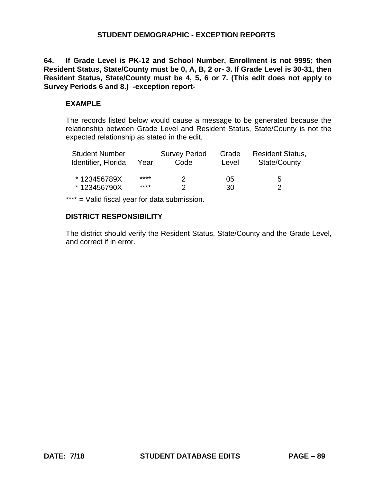**64. If Grade Level is PK-12 and School Number, Enrollment is not 9995; then Resident Status, State/County must be 0, A, B, 2 or- 3. If Grade Level is 30-31, then Resident Status, State/County must be 4, 5, 6 or 7. (This edit does not apply to Survey Periods 6 and 8.) -exception report-**

## **EXAMPLE**

The records listed below would cause a message to be generated because the relationship between Grade Level and Resident Status, State/County is not the expected relationship as stated in the edit.

| <b>Student Number</b><br>Identifier, Florida | Year | <b>Survey Period</b><br>Code | Grade<br>Level | <b>Resident Status,</b><br>State/County |
|----------------------------------------------|------|------------------------------|----------------|-----------------------------------------|
| *123456789X                                  | **** | 2.                           | 05             | 5                                       |
| *123456790X                                  | **** | າ                            | 30             | っ                                       |

\*\*\*\* = Valid fiscal year for data submission.

## **DISTRICT RESPONSIBILITY**

The district should verify the Resident Status, State/County and the Grade Level, and correct if in error.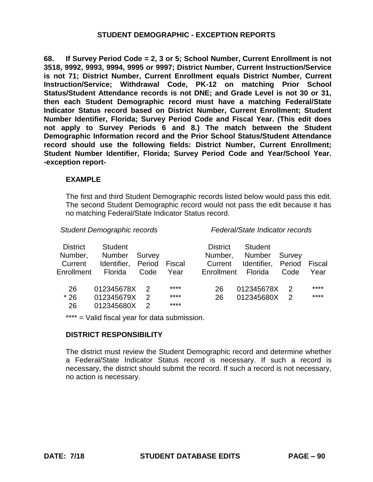**68. If Survey Period Code = 2, 3 or 5; School Number, Current Enrollment is not 3518, 9992, 9993, 9994, 9995 or 9997; District Number, Current Instruction/Service is not 71; District Number, Current Enrollment equals District Number, Current Instruction/Service; Withdrawal Code, PK-12 on matching Prior School Status/Student Attendance records is not DNE; and Grade Level is not 30 or 31, then each Student Demographic record must have a matching Federal/State Indicator Status record based on District Number, Current Enrollment; Student Number Identifier, Florida; Survey Period Code and Fiscal Year. (This edit does not apply to Survey Periods 6 and 8.) The match between the Student Demographic Information record and the Prior School Status/Student Attendance record should use the following fields: District Number, Current Enrollment; Student Number Identifier, Florida; Survey Period Code and Year/School Year. -exception report-**

### **EXAMPLE**

The first and third Student Demographic records listed below would pass this edit. The second Student Demographic record would not pass the edit because it has no matching Federal/State Indicator Status record.

*Student Demographic records Federal/State Indicator records* 

| <b>District</b><br>Number,<br>Current<br>Enrollment | <b>Student</b><br>Number<br>Identifier, Period<br>Florida | Survey<br>Code | Fiscal<br>Year | <b>District</b><br>Number,<br>Current<br>Enrollment Florida | <b>Student</b><br>Number<br>Identifier, Period | Survey<br>Code | Fiscal<br>Year |
|-----------------------------------------------------|-----------------------------------------------------------|----------------|----------------|-------------------------------------------------------------|------------------------------------------------|----------------|----------------|
|                                                     |                                                           |                |                |                                                             |                                                |                |                |
| 26                                                  | 012345678X                                                |                | ****           | 26                                                          | 012345678X                                     | 2              | ****           |
| $*26$                                               | 012345679X                                                | $\mathcal{P}$  | ****           | 26                                                          | 012345680X                                     | 2              | ****           |
| 26                                                  | 012345680X                                                | 2              | ****           |                                                             |                                                |                |                |

\*\*\*\* = Valid fiscal year for data submission.

### **DISTRICT RESPONSIBILITY**

The district must review the Student Demographic record and determine whether a Federal/State Indicator Status record is necessary. If such a record is necessary, the district should submit the record. If such a record is not necessary, no action is necessary.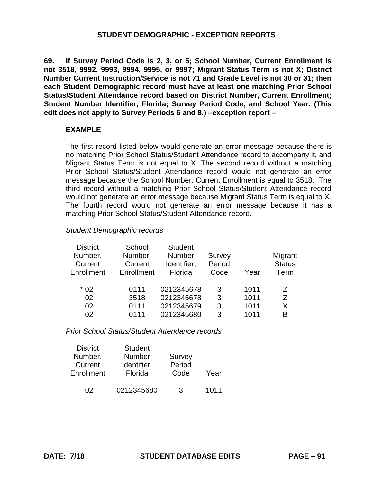**69. If Survey Period Code is 2, 3, or 5; School Number, Current Enrollment is not 3518, 9992, 9993, 9994, 9995, or 9997; Migrant Status Term is not X; District Number Current Instruction/Service is not 71 and Grade Level is not 30 or 31; then each Student Demographic record must have at least one matching Prior School Status/Student Attendance record based on District Number, Current Enrollment; Student Number Identifier, Florida; Survey Period Code, and School Year. (This edit does not apply to Survey Periods 6 and 8.) –exception report –**

## **EXAMPLE**

The first record listed below would generate an error message because there is no matching Prior School Status/Student Attendance record to accompany it, and Migrant Status Term is not equal to X. The second record without a matching Prior School Status/Student Attendance record would not generate an error message because the School Number, Current Enrollment is equal to 3518. The third record without a matching Prior School Status/Student Attendance record would not generate an error message because Migrant Status Term is equal to X. The fourth record would not generate an error message because it has a matching Prior School Status/Student Attendance record.

### *Student Demographic records*

| <b>District</b><br>Number,<br>Current<br>Enrollment | School<br>Number,<br>Current<br>Enrollment | <b>Student</b><br><b>Number</b><br>Identifier,<br>Florida | Survey<br>Period<br>Code | Year | Migrant<br><b>Status</b><br>Term |
|-----------------------------------------------------|--------------------------------------------|-----------------------------------------------------------|--------------------------|------|----------------------------------|
| $*02$                                               | 0111                                       | 0212345678                                                | 3                        | 1011 | 7                                |
| 02                                                  | 3518                                       | 0212345678                                                | 3                        | 1011 | Z                                |
| 02                                                  | 0111                                       | 0212345679                                                | 3                        | 1011 | X                                |
| 02                                                  | 0111                                       | 0212345680                                                | 3                        | 1011 | B                                |

*Prior School Status/Student Attendance records* 

| <b>District</b> | <b>Student</b> |        |      |
|-----------------|----------------|--------|------|
| Number,         | <b>Number</b>  | Survey |      |
| Current         | Identifier,    | Period |      |
| Enrollment      | Florida        | Code   | Year |
|                 |                |        |      |
| UJ.             | 0212345680     | 3      | 1011 |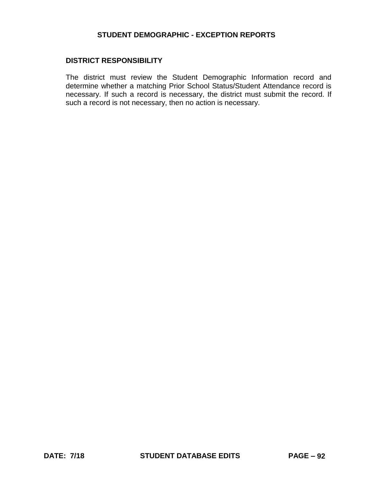## **DISTRICT RESPONSIBILITY**

The district must review the Student Demographic Information record and determine whether a matching Prior School Status/Student Attendance record is necessary. If such a record is necessary, the district must submit the record. If such a record is not necessary, then no action is necessary.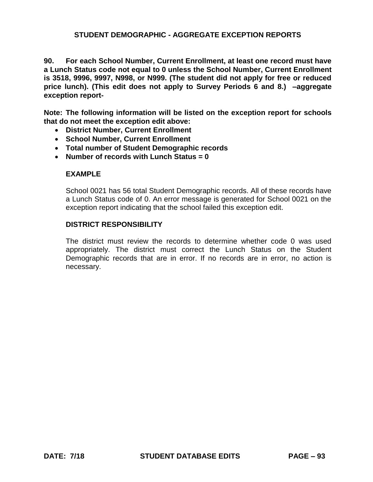## **STUDENT DEMOGRAPHIC - AGGREGATE EXCEPTION REPORTS**

**90. For each School Number, Current Enrollment, at least one record must have a Lunch Status code not equal to 0 unless the School Number, Current Enrollment is 3518, 9996, 9997, N998, or N999. (The student did not apply for free or reduced price lunch). (This edit does not apply to Survey Periods 6 and 8.) –aggregate exception report-**

**Note: The following information will be listed on the exception report for schools that do not meet the exception edit above:** 

- **District Number, Current Enrollment**
- **School Number, Current Enrollment**
- **Total number of Student Demographic records**
- **Number of records with Lunch Status = 0**

## **EXAMPLE**

School 0021 has 56 total Student Demographic records. All of these records have a Lunch Status code of 0. An error message is generated for School 0021 on the exception report indicating that the school failed this exception edit.

## **DISTRICT RESPONSIBILITY**

The district must review the records to determine whether code 0 was used appropriately. The district must correct the Lunch Status on the Student Demographic records that are in error. If no records are in error, no action is necessary.